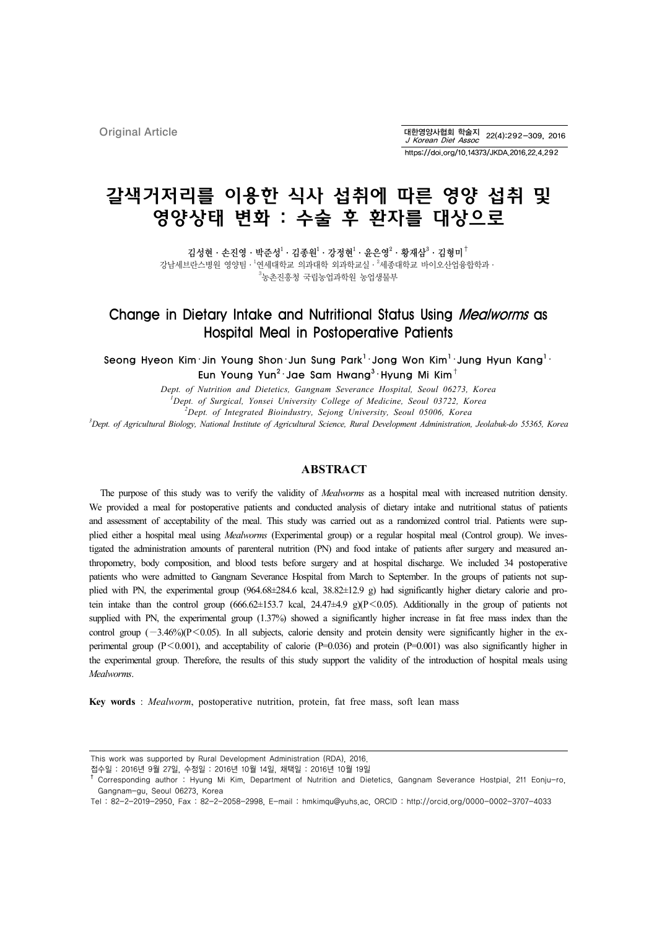Original Article

대한영양사협회 학술지 22(4):292-309, 2016<br>*J Korean Diet Assoc* 22(4):292-309, 2016 https://doi.org/10.14373/JKDA.2016.22.4.292

# 갈색거저리를 이용한 식사 섭취에 따른 영양 섭취 및 영양상태 변화 : 수술 후 환자를 대상으로

김성현 · 손진영 · 박준성 $^1$  · 김종원 $^1$  · 강정현 $^1$  · 윤은영 $^2$  · 황재삼 $^3$  · 김형미 $^\dagger$ 강남세브란스병원 영양팀· $^1$ 연세대학교 의과대학 외과학교실· $^2$ 세종대학교 바이오산업융합학과· 3 농촌진흥청 국립농업과학원 농업생물부

# Change in Dietary Intake and Nutritional Status Using Mealworms as Hospital Meal in Postoperative Patients

Seong Hyeon Kim $\cdot$ Jin Young Shon $\cdot$ Jun Sung Park $^{\rm l}$  $\cdot$ Jong Won Kim $^{\rm l}$  $\cdot$ Jung Hyun Kang $^{\rm l}$  $\cdot$ Eun Young Yun $^2\cdot$ Jae Sam Hwang $^3\cdot$ Hyung Mi Kim $^\dagger$ 

> *Dept. of Nutrition and Dietetics, Gangnam Severance Hospital, Seoul 06273, Korea 1 Dept. of Surgical, Yonsei University College of Medicine, Seoul 03722, Korea*

*2 Dept. of Integrated Bioindustry, Sejong University, Seoul 05006, Korea*

*3 Dept. of Agricultural Biology, National Institute of Agricultural Science, Rural Development Administration, Jeolabuk-do 55365, Korea*

#### **ABSTRACT**

The purpose of this study was to verify the validity of *Mealworms* as a hospital meal with increased nutrition density. We provided a meal for postoperative patients and conducted analysis of dietary intake and nutritional status of patients and assessment of acceptability of the meal. This study was carried out as a randomized control trial. Patients were supplied either a hospital meal using *Mealworms* (Experimental group) or a regular hospital meal (Control group). We investigated the administration amounts of parenteral nutrition (PN) and food intake of patients after surgery and measured anthropometry, body composition, and blood tests before surgery and at hospital discharge. We included 34 postoperative patients who were admitted to Gangnam Severance Hospital from March to September. In the groups of patients not supplied with PN, the experimental group (964.68±284.6 kcal, 38.82±12.9 g) had significantly higher dietary calorie and protein intake than the control group (666.62±153.7 kcal, 24.47±4.9 g)( $P \le 0.05$ ). Additionally in the group of patients not supplied with PN, the experimental group (1.37%) showed a significantly higher increase in fat free mass index than the control group (−3.46%)(P<0.05). In all subjects, calorie density and protein density were significantly higher in the experimental group  $(P<0.001)$ , and acceptability of calorie  $(P=0.036)$  and protein  $(P=0.001)$  was also significantly higher in the experimental group. Therefore, the results of this study support the validity of the introduction of hospital meals using *Mealworms*.

**Key words** : *Mealworm*, postoperative nutrition, protein, fat free mass, soft lean mass

This work was supported by Rural Development Administration (RDA), 2016.

접수일 : 2016년 9월 27일, 수정일 : 2016년 10월 14일, 채택일 : 2016년 10월 19일

<sup>&</sup>lt;sup>†</sup> Corresponding author : Hyung Mi Kim, Department of Nutrition and Dietetics, Gangnam Severance Hostpial, 211 Eonju-ro, Gangnam-gu, Seoul 06273, Korea

Tel : 82-2-2019-2950, Fax : 82-2-2058-2998, E-mail : hmkimqu@yuhs.ac, ORCID : http://orcid.org/0000-0002-3707-4033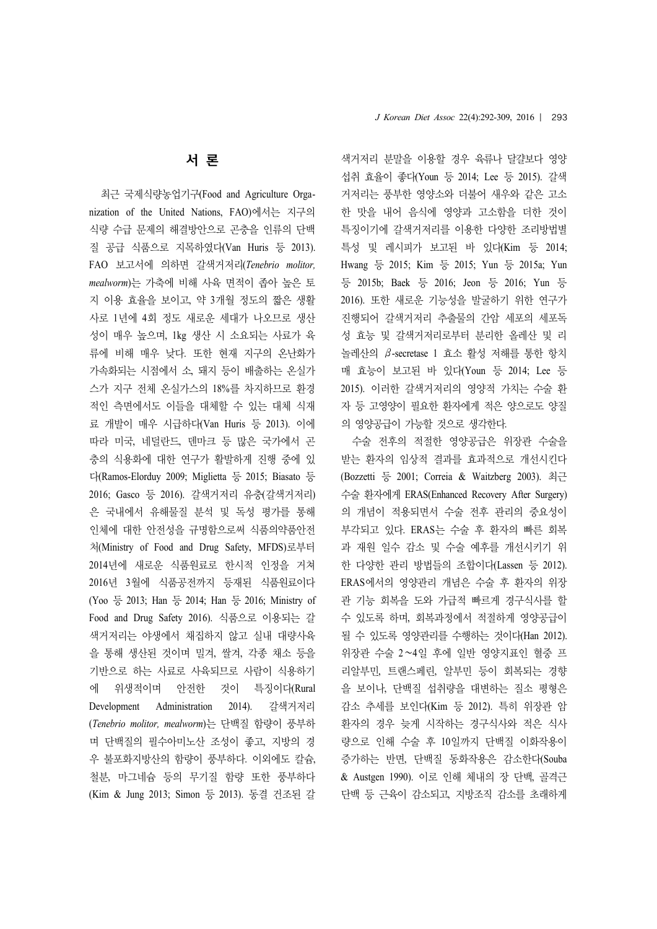# 서 론

최근 국제식량농업기구(Food and Agriculture Organization of the United Nations, FAO)에서는 지구의 식량 수급 문제의 해결방안으로 곤충을 인류의 단백 질 공급 식품으로 지목하였다(Van Huris 등 2013). FAO 보고서에 의하면 갈색거저리(*Tenebrio molitor, mealworm*)는 가축에 비해 사육 면적이 좁아 높은 토 지 이용 효율을 보이고, 약 3개월 정도의 짧은 생활 사로 1년에 4회 정도 새로운 세대가 나오므로 생산 성이 매우 높으며, 1kg 생산 시 소요되는 사료가 육 류에 비해 매우 낮다. 또한 현재 지구의 온난화가 가속화되는 시점에서 소, 돼지 등이 배출하는 온실가 스가 지구 전체 온실가스의 18%를 차지하므로 환경 적인 측면에서도 이들을 대체할 수 있는 대체 식재 료 개발이 매우 시급하다(Van Huris 등 2013). 이에 따라 미국, 네덜란드, 덴마크 등 많은 국가에서 곤 충의 식용화에 대한 연구가 활발하게 진행 중에 있 다(Ramos-Elorduy 2009; Miglietta 등 2015; Biasato 등 2016; Gasco 등 2016). 갈색거저리 유충(갈색거저리) 은 국내에서 유해물질 분석 및 독성 평가를 통해 인체에 대한 안전성을 규명함으로써 식품의약품안전 처(Ministry of Food and Drug Safety, MFDS)로부터 2014년에 새로운 식품원료로 한시적 인정을 거쳐 2016년 3월에 식품공전까지 등재된 식품원료이다 (Yoo 등 2013; Han 등 2014; Han 등 2016; Ministry of Food and Drug Safety 2016). 식품으로 이용되는 갈 색거저리는 야생에서 채집하지 않고 실내 대량사육 을 통해 생산된 것이며 밀겨, 쌀겨, 각종 채소 등을 기반으로 하는 사료로 사육되므로 사람이 식용하기 에 위생적이며 안전한 것이 특징이다(Rural Development Administration 2014). 갈색거저리 (*Tenebrio molitor, mealworm*)는 단백질 함량이 풍부하 며 단백질의 필수아미노산 조성이 좋고, 지방의 경 우 불포화지방산의 함량이 풍부하다. 이외에도 칼슘, 철분, 마그네슘 등의 무기질 함량 또한 풍부하다 (Kim & Jung 2013; Simon 등 2013). 동결 건조된 갈

색거저리 분말을 이용할 경우 육류나 달걀보다 영양 섭취 효율이 좋다(Youn 등 2014; Lee 등 2015). 갈색 거저리는 풍부한 영양소와 더불어 새우와 같은 고소 한 맛을 내어 음식에 영양과 고소함을 더한 것이 특징이기에 갈색거저리를 이용한 다양한 조리방법별 특성 및 레시피가 보고된 바 있다(Kim 등 2014; Hwang 등 2015; Kim 등 2015; Yun 등 2015a; Yun 등 2015b; Baek 등 2016; Jeon 등 2016; Yun 등 2016). 또한 새로운 기능성을 발굴하기 위한 연구가 진행되어 갈색거저리 추출물의 간암 세포의 세포독 성 효능 및 갈색거저리로부터 분리한 올레산 및 리 놀레산의 β-secretase 1 효소 활성 저해를 통한 항치 매 효능이 보고된 바 있다(Youn 등 2014; Lee 등 2015). 이러한 갈색거저리의 영양적 가치는 수술 환 자 등 고영양이 필요한 환자에게 적은 양으로도 양질 의 영양공급이 가능할 것으로 생각한다.

수술 전후의 적절한 영양공급은 위장관 수술을 받는 환자의 임상적 결과를 효과적으로 개선시킨다 (Bozzetti 등 2001; Correia & Waitzberg 2003). 최근 수술 환자에게 ERAS(Enhanced Recovery After Surgery) 의 개념이 적용되면서 수술 전후 관리의 중요성이 부각되고 있다. ERAS는 수술 후 환자의 빠른 회복 과 재원 일수 감소 및 수술 예후를 개선시키기 위 한 다양한 관리 방법들의 조합이다(Lassen 등 2012). ERAS에서의 영양관리 개념은 수술 후 환자의 위장 관 기능 회복을 도와 가급적 빠르게 경구식사를 할 수 있도록 하며, 회복과정에서 적절하게 영양공급이 될 수 있도록 영양관리를 수행하는 것이다(Han 2012). 위장관 수술 2∼4일 후에 일반 영양지표인 혈중 프 리알부민, 트랜스페린, 알부민 등이 회복되는 경향 을 보이나, 단백질 섭취량을 대변하는 질소 평형은 감소 추세를 보인다(Kim 등 2012). 특히 위장관 암 환자의 경우 늦게 시작하는 경구식사와 적은 식사 량으로 인해 수술 후 10일까지 단백질 이화작용이 증가하는 반면, 단백질 동화작용은 감소한다(Souba & Austgen 1990). 이로 인해 체내의 장 단백, 골격근 단백 등 근육이 감소되고, 지방조직 감소를 초래하게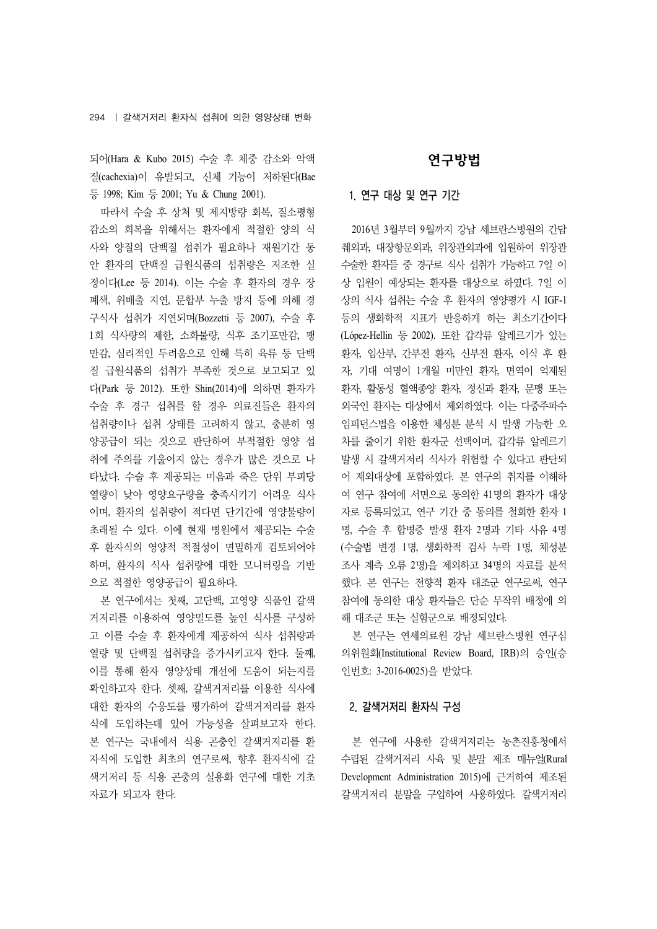되어(Hara & Kubo 2015) 수술 후 체중 감소와 악액 질(cachexia)이 유발되고, 신체 기능이 저하된다(Bae 등 1998; Kim 등 2001; Yu & Chung 2001).

따라서 수술 후 상처 및 제지방량 회복, 질소평형 감소의 회복을 위해서는 환자에게 적절한 양의 식 사와 양질의 단백질 섭취가 필요하나 재원기간 동 안 환자의 단백질 급원식품의 섭취량은 저조한 실 정이다(Lee 등 2014). 이는 수술 후 환자의 경우 장 폐색, 위배출 지연, 문합부 누출 방지 등에 의해 경 구식사 섭취가 지연되며(Bozzetti 등 2007), 수술 후 1회 식사량의 제한, 소화불량, 식후 조기포만감, 팽 만감, 심리적인 두려움으로 인해 특히 육류 등 단백 질 급원식품의 섭취가 부족한 것으로 보고되고 있 다(Park 등 2012). 또한 Shin(2014)에 의하면 환자가 수술 후 경구 섭취를 할 경우 의료진들은 환자의 섭취량이나 섭취 상태를 고려하지 않고, 충분히 영 양공급이 되는 것으로 판단하여 부적절한 영양 섭 취에 주의를 기울이지 않는 경우가 많은 것으로 나 타났다. 수술 후 제공되는 미음과 죽은 단위 부피당 열량이 낮아 영양요구량을 충족시키기 어려운 식사 이며, 환자의 섭취량이 적다면 단기간에 영양불량이 초래될 수 있다. 이에 현재 병원에서 제공되는 수술 후 환자식의 영양적 적절성이 면밀하게 검토되어야 하며, 환자의 식사 섭취량에 대한 모니터링을 기반 으로 적절한 영양공급이 필요하다.

본 연구에서는 첫째, 고단백, 고영양 식품인 갈색 거저리를 이용하여 영양밀도를 높인 식사를 구성하 고 이를 수술 후 환자에게 제공하여 식사 섭취량과 열량 및 단백질 섭취량을 증가시키고자 한다. 둘째, 이를 통해 환자 영양상태 개선에 도움이 되는지를 확인하고자 한다. 셋째, 갈색거저리를 이용한 식사에 대한 환자의 수응도를 평가하여 갈색거저리를 환자 식에 도입하는데 있어 가능성을 살펴보고자 한다. 본 연구는 국내에서 식용 곤충인 갈색거저리를 환 자식에 도입한 최초의 연구로써, 향후 환자식에 갈 색거저리 등 식용 곤충의 실용화 연구에 대한 기초 자료가 되고자 한다.

# 연구방법

## 1. 연구 대상 및 연구 기간

2016년 3월부터 9월까지 강남 세브란스병원의 간담 췌외과, 대장항문외과, 위장관외과에 입원하여 위장관 수술한 환자들 중 경구로 식사 섭취가 가능하고 7일 이 상 입원이 예상되는 환자를 대상으로 하였다. 7일 이 상의 식사 섭취는 수술 후 환자의 영양평가 시 IGF-1 등의 생화학적 지표가 반응하게 하는 최소기간이다 (López-Hellin 등 2002). 또한 갑각류 알레르기가 있는 환자, 임산부, 간부전 환자, 신부전 환자, 이식 후 환 자, 기대 여명이 1개월 미만인 환자, 면역이 억제된 환자, 활동성 혈액종양 환자, 정신과 환자, 문맹 또는 외국인 환자는 대상에서 제외하였다. 이는 다중주파수 임피던스법을 이용한 체성분 분석 시 발생 가능한 오 차를 줄이기 위한 환자군 선택이며, 갑각류 알레르기 발생 시 갈색거저리 식사가 위험할 수 있다고 판단되 어 제외대상에 포함하였다. 본 연구의 취지를 이해하 여 연구 참여에 서면으로 동의한 41명의 환자가 대상 자로 등록되었고, 연구 기간 중 동의를 철회한 환자 1 명, 수술 후 합병증 발생 환자 2명과 기타 사유 4명 (수술법 변경 1명, 생화학적 검사 누락 1명, 체성분 조사 계측 오류 2명)을 제외하고 34명의 자료를 분석 했다. 본 연구는 전향적 환자 대조군 연구로써, 연구 참여에 동의한 대상 환자들은 단순 무작위 배정에 의 해 대조군 또는 실험군으로 배정되었다.

본 연구는 연세의료원 강남 세브란스병원 연구심 의위원회(Institutional Review Board, IRB)의 승인(승 인번호: 3-2016-0025)을 받았다.

## 2. 갈색거저리 환자식 구성

본 연구에 사용한 갈색거저리는 농촌진흥청에서 수립된 갈색거저리 사육 및 분말 제조 매뉴얼(Rural Development Administration 2015)에 근거하여 제조된 갈색거저리 분말을 구입하여 사용하였다. 갈색거저리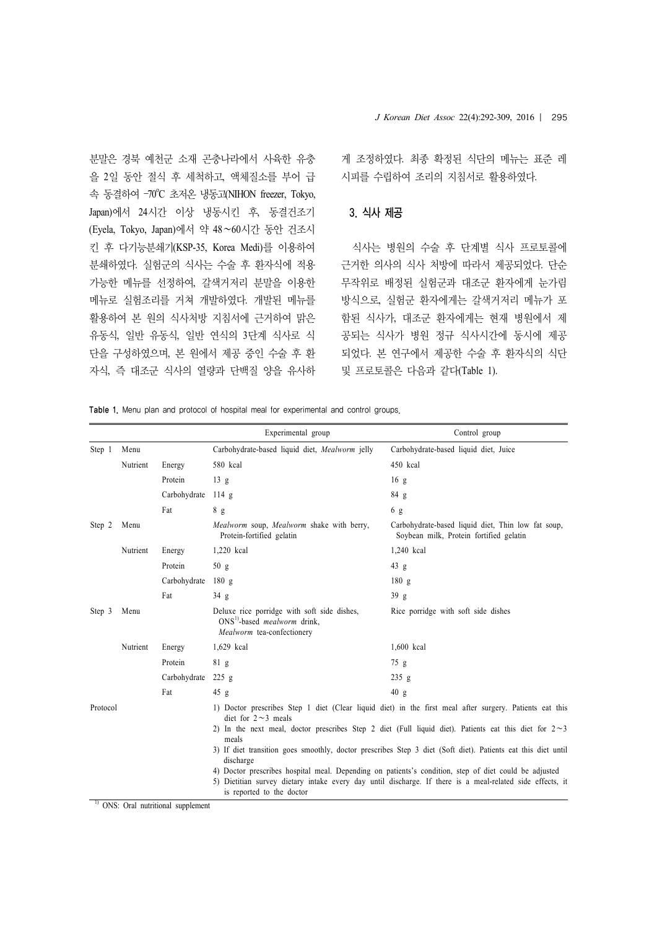분말은 경북 예천군 소재 곤충나라에서 사육한 유충 을 2일 동안 절식 후 세척하고, 액체질소를 부어 급 속 동결하여 -70°C 초저온 냉동고(NIHON freezer, Tokyo, Japan)에서 24시간 이상 냉동시킨 후, 동결건조기 (Eyela, Tokyo, Japan)에서 약 48∼60시간 동안 건조시 킨 후 다기능분쇄기(KSP-35, Korea Medi)를 이용하여 분쇄하였다. 실험군의 식사는 수술 후 환자식에 적용 가능한 메뉴를 선정하여, 갈색거저리 분말을 이용한 메뉴로 실험조리를 거쳐 개발하였다. 개발된 메뉴를 활용하여 본 원의 식사처방 지침서에 근거하여 맑은 유동식, 일반 유동식, 일반 연식의 3단계 식사로 식 단을 구성하였으며, 본 원에서 제공 중인 수술 후 환 자식, 즉 대조군 식사의 열량과 단백질 양을 유사하

게 조정하였다. 최종 확정된 식단의 메뉴는 표준 레 시피를 수립하여 조리의 지침서로 활용하였다.

#### 3. 식사 제공

식사는 병원의 수술 후 단계별 식사 프로토콜에 근거한 의사의 식사 처방에 따라서 제공되었다. 단순 무작위로 배정된 실험군과 대조군 환자에게 눈가림 방식으로, 실험군 환자에게는 갈색거저리 메뉴가 포 함된 식사가, 대조군 환자에게는 현재 병원에서 제 공되는 식사가 병원 정규 식사시간에 동시에 제공 되었다. 본 연구에서 제공한 수술 후 환자식의 식단 및 프로토콜은 다음과 같다(Table 1).

Table 1. Menu plan and protocol of hospital meal for experimental and control groups.

|          |          |                                  | Experimental group                                                                                                | Control group                                                                                                                                                                                                      |
|----------|----------|----------------------------------|-------------------------------------------------------------------------------------------------------------------|--------------------------------------------------------------------------------------------------------------------------------------------------------------------------------------------------------------------|
| Step 1   | Menu     |                                  | Carbohydrate-based liquid diet, Mealworm jelly                                                                    | Carbohydrate-based liquid diet, Juice                                                                                                                                                                              |
|          | Nutrient | Energy                           | 580 kcal                                                                                                          | 450 kcal                                                                                                                                                                                                           |
|          |          | Protein                          | 13 g                                                                                                              | 16g                                                                                                                                                                                                                |
|          |          | Carbohydrate                     | 114 g                                                                                                             | 84 g                                                                                                                                                                                                               |
|          |          | Fat                              | 8 g                                                                                                               | 6g                                                                                                                                                                                                                 |
| Step 2   | Menu     |                                  | Mealworm soup, Mealworm shake with berry,<br>Protein-fortified gelatin                                            | Carbohydrate-based liquid diet, Thin low fat soup,<br>Soybean milk, Protein fortified gelatin                                                                                                                      |
|          | Nutrient | Energy                           | 1,220 kcal                                                                                                        | 1,240 kcal                                                                                                                                                                                                         |
|          |          | Protein                          | 50 g                                                                                                              | 43 g                                                                                                                                                                                                               |
|          |          | Carbohydrate                     | 180 g                                                                                                             | 180 g                                                                                                                                                                                                              |
|          |          | Fat                              | 34 g                                                                                                              | 39g                                                                                                                                                                                                                |
| Step 3   | Menu     |                                  | Deluxe rice porridge with soft side dishes,<br>$ONS1$ -based <i>mealworm</i> drink,<br>Mealworm tea-confectionery | Rice porridge with soft side dishes                                                                                                                                                                                |
|          | Nutrient | Energy                           | 1,629 kcal                                                                                                        | 1,600 kcal                                                                                                                                                                                                         |
|          |          | Protein                          | 81 g                                                                                                              | 75 g                                                                                                                                                                                                               |
|          |          | Carbohydrate                     | $225$ g                                                                                                           | $235$ g                                                                                                                                                                                                            |
|          |          | Fat                              | 45 g                                                                                                              | 40 g                                                                                                                                                                                                               |
| Protocol |          |                                  | diet for $2 \sim 3$ meals                                                                                         | 1) Doctor prescribes Step 1 diet (Clear liquid diet) in the first meal after surgery. Patients eat this                                                                                                            |
|          |          |                                  | meals                                                                                                             | 2) In the next meal, doctor prescribes Step 2 diet (Full liquid diet). Patients eat this diet for $2\sim$ 3                                                                                                        |
|          |          |                                  | discharge                                                                                                         | 3) If diet transition goes smoothly, doctor prescribes Step 3 diet (Soft diet). Patients eat this diet until                                                                                                       |
|          |          |                                  | is reported to the doctor                                                                                         | 4) Doctor prescribes hospital meal. Depending on patients's condition, step of diet could be adjusted<br>5) Dietitian survey dietary intake every day until discharge. If there is a meal-related side effects, it |
|          |          | ONS: Oral nutritional supplement |                                                                                                                   |                                                                                                                                                                                                                    |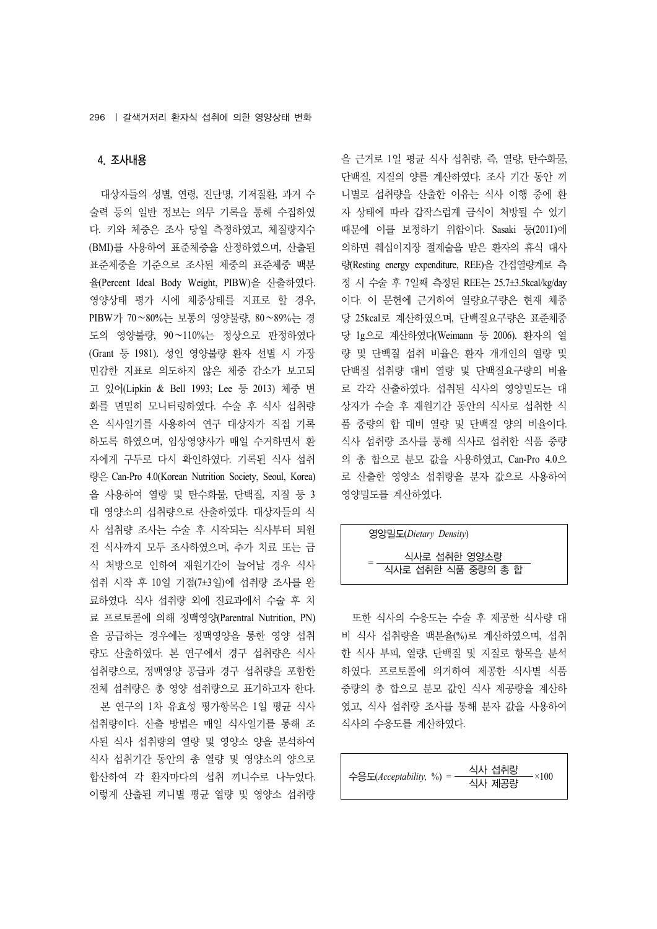## 4. 조사내용

대상자들의 성별, 연령, 진단명, 기저질환, 과거 수 술력 등의 일반 정보는 의무 기록을 통해 수집하였 다. 키와 체중은 조사 당일 측정하였고, 체질량지수 (BMI)를 사용하여 표준체중을 산정하였으며, 산출된 표준체중을 기준으로 조사된 체중의 표준체중 백분 율(Percent Ideal Body Weight, PIBW)을 산출하였다. 영양상태 평가 시에 체중상태를 지표로 할 경우, PIBW가 70∼80%는 보통의 영양불량, 80∼89%는 경 도의 영양불량, 90∼110%는 정상으로 판정하였다 (Grant 등 1981). 성인 영양불량 환자 선별 시 가장 민감한 지표로 의도하지 않은 체중 감소가 보고되 고 있어(Lipkin & Bell 1993; Lee 등 2013) 체중 변 화를 면밀히 모니터링하였다. 수술 후 식사 섭취량 은 식사일기를 사용하여 연구 대상자가 직접 기록 하도록 하였으며, 임상영양사가 매일 수거하면서 환 자에게 구두로 다시 확인하였다. 기록된 식사 섭취 량은 Can-Pro 4.0(Korean Nutrition Society, Seoul, Korea) 을 사용하여 열량 및 탄수화물, 단백질, 지질 등 3 대 영양소의 섭취량으로 산출하였다. 대상자들의 식 사 섭취량 조사는 수술 후 시작되는 식사부터 퇴원 전 식사까지 모두 조사하였으며, 추가 치료 또는 금 식 처방으로 인하여 재원기간이 늘어날 경우 식사 섭취 시작 후 10일 기점(7±3일)에 섭취량 조사를 완 료하였다. 식사 섭취량 외에 진료과에서 수술 후 치 료 프로토콜에 의해 정맥영양(Parentral Nutrition, PN) 을 공급하는 경우에는 정맥영양을 통한 영양 섭취 량도 산출하였다. 본 연구에서 경구 섭취량은 식사 섭취량으로, 정맥영양 공급과 경구 섭취량을 포함한 전체 섭취량은 총 영양 섭취량으로 표기하고자 한다.

본 연구의 1차 유효성 평가항목은 1일 평균 식사 섭취량이다. 산출 방법은 매일 식사일기를 통해 조 사된 식사 섭취량의 열량 및 영양소 양을 분석하여 식사 섭취기간 동안의 총 열량 및 영양소의 양으로 합산하여 각 환자마다의 섭취 끼니수로 나누었다. 이렇게 산출된 끼니별 평균 열량 및 영양소 섭취량

을 근거로 1일 평균 식사 섭취량, 즉, 열량, 탄수화물, 단백질, 지질의 양를 계산하였다. 조사 기간 동안 끼 니별로 섭취량을 산출한 이유는 식사 이행 중에 환 자 상태에 따라 갑작스럽게 금식이 처방될 수 있기 때문에 이를 보정하기 위함이다. Sasaki 등(2011)에 의하면 췌십이지장 절제술을 받은 환자의 휴식 대사 량(Resting energy expenditure, REE)을 간접열량계로 측 정 시 수술 후 7일째 측정된 REE는 25.7±3.5kcal/kg/day 이다. 이 문헌에 근거하여 열량요구량은 현재 체중 당 25kcal로 계산하였으며, 단백질요구량은 표준체중 당 1g으로 계산하였다(Weimann 등 2006). 환자의 열 량 및 단백질 섭취 비율은 환자 개개인의 열량 및 단백질 섭취량 대비 열량 및 단백질요구량의 비율 로 각각 산출하였다. 섭취된 식사의 영양밀도는 대 상자가 수술 후 재원기간 동안의 식사로 섭취한 식 품 중량의 합 대비 열량 및 단백질 양의 비율이다. 식사 섭취량 조사를 통해 식사로 섭취한 식품 중량 의 총 합으로 분모 값을 사용하였고, Can-Pro 4.0으 로 산출한 영양소 섭취량을 분자 값으로 사용하여 영양밀도를 계산하였다.

## 영양밀도(*Dietary Density*)

#### <sup>=</sup> 식사로 섭취한 영양소량 식사로 섭취한 식품 중량의 총 합

또한 식사의 수응도는 수술 후 제공한 식사량 대 비 식사 섭취량을 백분율(%)로 계산하였으며, 섭취 한 식사 부피, 열량, 단백질 및 지질로 항목을 분석 하였다. 프로토콜에 의거하여 제공한 식사별 식품 중량의 총 합으로 분모 값인 식사 제공량을 계산하 였고, 식사 섭취량 조사를 통해 분자 값을 사용하여 식사의 수응도를 계산하였다.

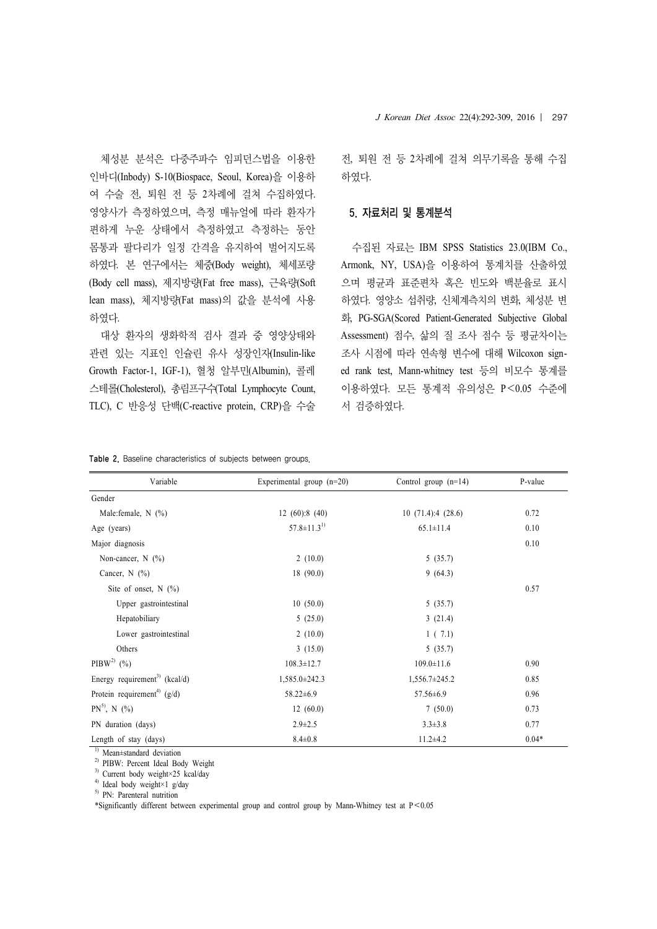체성분 분석은 다중주파수 임피던스법을 이용한 인바디(Inbody) S-10(Biospace, Seoul, Korea)을 이용하 여 수술 전, 퇴원 전 등 2차례에 걸쳐 수집하였다. 영양사가 측정하였으며, 측정 매뉴얼에 따라 환자가 편하게 누운 상태에서 측정하였고 측정하는 동안 몸통과 팔다리가 일정 간격을 유지하여 벌어지도록 하였다. 본 연구에서는 체중(Body weight), 체세포량 (Body cell mass), 제지방량(Fat free mass), 근육량(Soft lean mass), 체지방량(Fat mass)의 값을 분석에 사용 하였다.

대상 환자의 생화학적 검사 결과 중 영양상태와 관련 있는 지표인 인슐린 유사 성장인자(Insulin-like Growth Factor-1, IGF-1), 혈청 알부민(Albumin), 콜레 스테롤(Cholesterol), 총림프구수(Total Lymphocyte Count, TLC), C 반응성 단백(C-reactive protein, CRP)을 수술

전, 퇴원 전 등 2차례에 걸쳐 의무기록을 통해 수집 하였다.

#### 5. 자료처리 및 통계분석

수집된 자료는 IBM SPSS Statistics 23.0(IBM Co., Armonk, NY, USA)을 이용하여 통계치를 산출하였 으며 평균과 표준편차 혹은 빈도와 백분율로 표시 하였다. 영양소 섭취량, 신체계측치의 변화, 체성분 변 화, PG-SGA(Scored Patient-Generated Subjective Global Assessment) 점수, 삶의 질 조사 점수 등 평균차이는 조사 시점에 따라 연속형 변수에 대해 Wilcoxon signed rank test, Mann-whitney test 등의 비모수 통계를 이용하였다. 모든 통계적 유의성은 P<0.05 수준에 서 검증하였다.

|  |  |  | Table 2. Baseline characteristics of subjects between groups. |  |  |  |  |
|--|--|--|---------------------------------------------------------------|--|--|--|--|
|--|--|--|---------------------------------------------------------------|--|--|--|--|

| Variable                                    | Experimental group $(n=20)$ | Control group $(n=14)$ | P-value |
|---------------------------------------------|-----------------------------|------------------------|---------|
| Gender                                      |                             |                        |         |
| Male: female, $N$ (%)                       | 12(60):8(40)                | 10(71.4):4(28.6)       | 0.72    |
| Age (years)                                 | $57.8 \pm 11.3^{1}$         | $65.1 \pm 11.4$        | 0.10    |
| Major diagnosis                             |                             |                        | 0.10    |
| Non-cancer, $N$ (%)                         | 2(10.0)                     | 5(35.7)                |         |
| Cancer, $N(%)$                              | 18(90.0)                    | 9(64.3)                |         |
| Site of onset, $N$ (%)                      |                             |                        | 0.57    |
| Upper gastrointestinal                      | 10(50.0)                    | 5(35.7)                |         |
| Hepatobiliary                               | 5(25.0)                     | 3(21.4)                |         |
| Lower gastrointestinal                      | 2(10.0)                     | 1(7.1)                 |         |
| Others                                      | 3(15.0)                     | 5(35.7)                |         |
| $PIBW^{2}$ (%)                              | $108.3 \pm 12.7$            | $109.0 \pm 11.6$       | 0.90    |
| Energy requirement <sup>3)</sup> (kcal/d)   | 1,585.0±242.3               | $1,556.7 \pm 245.2$    | 0.85    |
| Protein requirement <sup>4)</sup> ( $g/d$ ) | $58.22 \pm 6.9$             | $57.56 \pm 6.9$        | 0.96    |
| $PN^{5}$ , N $(\%)$                         | 12(60.0)                    | 7(50.0)                | 0.73    |
| PN duration (days)                          | $2.9 \pm 2.5$               | $3.3 \pm 3.8$          | 0.77    |
| Length of stay (days)                       | $8.4 \pm 0.8$               | $11.2 \pm 4.2$         | $0.04*$ |

1) Mean±standard deviation

2) PIBW: Percent Ideal Body Weight

<sup>3)</sup> Current body weight×25 kcal/day

4) Ideal body weight×1 g/day

5) PN: Parenteral nutrition

\*Significantly different between experimental group and control group by Mann-Whitney test at P<0.05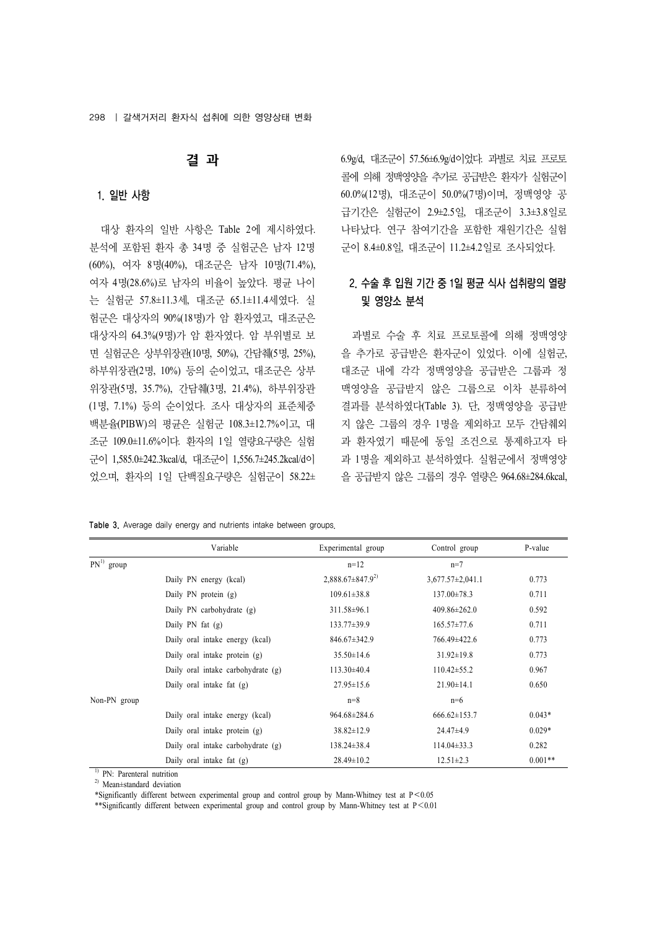## 결 과

#### 1. 일반 사항

대상 환자의 일반 사항은 Table 2에 제시하였다. 분석에 포함된 환자 총 34명 중 실험군은 남자 12명 (60%), 여자 8명(40%), 대조군은 남자 10명(71.4%), 여자 4명(28.6%)로 남자의 비율이 높았다. 평균 나이 는 실험군 57.8±11.3세, 대조군 65.1±11.4세였다. 실 험군은 대상자의 90%(18명)가 암 환자였고, 대조군은 대상자의 64.3%(9명)가 암 환자였다. 암 부위별로 보 면 실험군은 상부위장관(10명, 50%), 간담췌(5명, 25%), 하부위장관(2명, 10%) 등의 순이었고, 대조군은 상부 위장관(5명, 35.7%), 간담췌(3명, 21.4%), 하부위장관 (1명, 7.1%) 등의 순이었다. 조사 대상자의 표준체중 백분율(PIBW)의 평균은 실험군 108.3±12.7%이고, 대 조군 109.0±11.6%이다. 환자의 1일 열량요구량은 실험 군이 1,585.0±242.3kcal/d, 대조군이 1,556.7±245.2kcal/d이 었으며, 환자의 1일 단백질요구량은 실험군이 58.22± 6.9g/d, 대조군이 57.56±6.9g/d이었다. 과별로 치료 프로토 콜에 의해 정맥영양을 추가로 공급받은 환자가 실험군이 60.0%(12명), 대조군이 50.0%(7명)이며, 정맥영양 공 급기간은 실험군이 2.9±2.5일, 대조군이 3.3±3.8일로 나타났다. 연구 참여기간을 포함한 재원기간은 실험 군이 8.4±0.8일, 대조군이 11.2±4.2일로 조사되었다.

# 2. 수술 후 입원 기간 중 1일 평균 식사 섭취량의 열량 및 영양소 분석

과별로 수술 후 치료 프로토콜에 의해 정맥영양 을 추가로 공급받은 환자군이 있었다. 이에 실험군, 대조군 내에 각각 정맥영양을 공급받은 그룹과 정 맥영양을 공급받지 않은 그룹으로 이차 분류하여 결과를 분석하였다(Table 3). 단, 정맥영양을 공급받 지 않은 그룹의 경우 1명을 제외하고 모두 간담췌외 과 환자였기 때문에 동일 조건으로 통제하고자 타 과 1명을 제외하고 분석하였다. 실험군에서 정맥영양 을 공급받지 않은 그룹의 경우 열량은 964.68±284.6kcal,

|  |  |  |  |  |  | Table 3. Average daily energy and nutrients intake between groups. |  |  |  |
|--|--|--|--|--|--|--------------------------------------------------------------------|--|--|--|
|--|--|--|--|--|--|--------------------------------------------------------------------|--|--|--|

|              | Variable                           | Experimental group       | Control group          | P-value   |
|--------------|------------------------------------|--------------------------|------------------------|-----------|
| $PN1$ group  |                                    | $n=12$                   | $n=7$                  |           |
|              | Daily PN energy (kcal)             | $2,888.67 \pm 847.9^{2}$ | $3,677.57 \pm 2,041.1$ | 0.773     |
|              | Daily PN protein (g)               | $109.61 \pm 38.8$        | $137.00 \pm 78.3$      | 0.711     |
|              | Daily PN carbohydrate (g)          | $311.58 \pm 96.1$        | $409.86 \pm 262.0$     | 0.592     |
|              | Daily $PN$ fat $(g)$               | $133.77\pm39.9$          | $165.57 \pm 77.6$      | 0.711     |
|              | Daily oral intake energy (kcal)    | $846.67 \pm 342.9$       | 766.49±422.6           | 0.773     |
|              | Daily oral intake protein (g)      | $35.50 \pm 14.6$         | $31.92 \pm 19.8$       | 0.773     |
|              | Daily oral intake carbohydrate (g) | $113.30\pm40.4$          | $110.42 \pm 55.2$      | 0.967     |
|              | Daily oral intake fat $(g)$        | $27.95 \pm 15.6$         | $21.90 \pm 14.1$       | 0.650     |
| Non-PN group |                                    | $n=8$                    | $n=6$                  |           |
|              | Daily oral intake energy (kcal)    | $964.68 \pm 284.6$       | $666.62 \pm 153.7$     | $0.043*$  |
|              | Daily oral intake protein (g)      | $38.82 \pm 12.9$         | $24.47\pm4.9$          | $0.029*$  |
|              | Daily oral intake carbohydrate (g) | $138.24 \pm 38.4$        | $114.04\pm33.3$        | 0.282     |
|              | Daily oral intake fat (g)          | $28.49 \pm 10.2$         | $12.51 \pm 2.3$        | $0.001**$ |

<sup>1)</sup> PN: Parenteral nutrition

2) Mean±standard deviation

\*Significantly different between experimental group and control group by Mann-Whitney test at P<0.05

\*\*Significantly different between experimental group and control group by Mann-Whitney test at P<0.01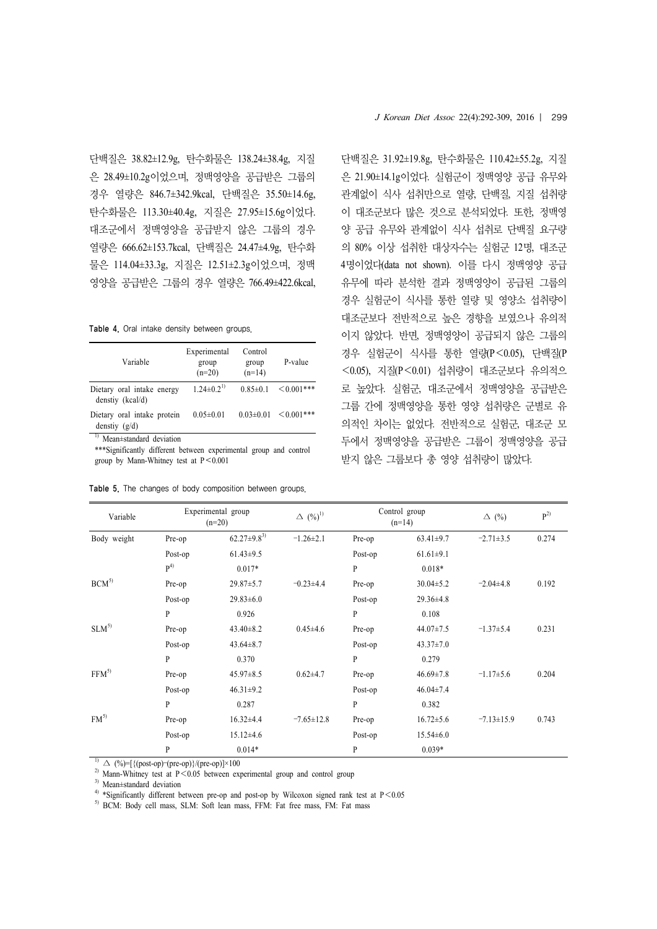단백질은 38.82±12.9g, 탄수화물은 138.24±38.4g, 지질 은 28.49±10.2g이었으며, 정맥영양을 공급받은 그룹의 경우 열량은 846.7±342.9kcal, 단백질은 35.50±14.6g, 탄수화물은 113.30±40.4g, 지질은 27.95±15.6g이었다. 대조군에서 정맥영양을 공급받지 않은 그룹의 경우 열량은 666.62±153.7kcal, 단백질은 24.47±4.9g, 탄수화 물은 114.04±33.3g, 지질은 12.51±2.3g이었으며, 정맥 영양을 공급받은 그룹의 경우 열량은 766.49±422.6kcal,

Table 4. Oral intake density between groups.

| Variable                                       | Experimental<br>group<br>$(n=20)$ | Control<br>group<br>$(n=14)$ | P-value                          |
|------------------------------------------------|-----------------------------------|------------------------------|----------------------------------|
| Dietary oral intake energy<br>denstiy (kcal/d) | $1.24 \pm 0.2^{1}$                | $0.85 \pm 0.1$               | $\leq 0.001$ ***                 |
| Dietary oral intake protein<br>denstiy $(g/d)$ | $0.05 \pm 0.01$                   |                              | $0.03 \pm 0.01$ $\leq 0.001$ *** |

<sup>1)</sup> Mean±standard deviation

\*\*\*Significantly different between experimental group and control group by Mann-Whitney test at  $P \le 0.001$ 

|  |  |  |  |  |  | Table 5. The changes of body composition between groups. |  |  |
|--|--|--|--|--|--|----------------------------------------------------------|--|--|
|--|--|--|--|--|--|----------------------------------------------------------|--|--|

단백질은 31.92±19.8g, 탄수화물은 110.42±55.2g, 지질 은 21.90±14.1g이었다. 실험군이 정맥영양 공급 유무와 관계없이 식사 섭취만으로 열량, 단백질, 지질 섭취량 이 대조군보다 많은 것으로 분석되었다. 또한, 정맥영 양 공급 유무와 관계없이 식사 섭취로 단백질 요구량 의 80% 이상 섭취한 대상자수는 실험군 12명, 대조군 4명이었다(data not shown). 이를 다시 정맥영양 공급 유무에 따라 분석한 결과 정맥영양이 공급된 그룹의 경우 실험군이 식사를 통한 열량 및 영양소 섭취량이 대조군보다 전반적으로 높은 경향을 보였으나 유의적 이지 않았다. 반면, 정맥영양이 공급되지 않은 그룹의 경우 실험군이 식사를 통한 열량(P<0.05), 단백질(P <0.05), 지질(P<0.01) 섭취량이 대조군보다 유의적으 로 높았다. 실험군, 대조군에서 정맥영양을 공급받은 그룹 간에 정맥영양을 통한 영양 섭취량은 군별로 유 의적인 차이는 없었다. 전반적으로 실험군, 대조군 모 두에서 정맥영양을 공급받은 그룹이 정맥영양을 공급 받지 않은 그룹보다 총 영양 섭취량이 많았다.

| Variable         |              | Experimental group<br>$(n=20)$ | $\Delta$ $(\%)$ <sup>1)</sup> |              | Control group<br>$(n=14)$ | $\Delta$ (%)     | $P^{2)}$ |
|------------------|--------------|--------------------------------|-------------------------------|--------------|---------------------------|------------------|----------|
| Body weight      | Pre-op       | $62.27 \pm 9.8^{3}$            | $-1.26 \pm 2.1$               | Pre-op       | $63.41 \pm 9.7$           | $-2.71 \pm 3.5$  | 0.274    |
|                  | Post-op      | $61.43 \pm 9.5$                |                               | Post-op      | $61.61 \pm 9.1$           |                  |          |
|                  | $P^{(4)}$    | $0.017*$                       |                               | $\mathbf{P}$ | $0.018*$                  |                  |          |
| $BCM^{5}$        | Pre-op       | $29.87 \pm 5.7$                | $-0.23 \pm 4.4$               | Pre-op       | $30.04 \pm 5.2$           | $-2.04\pm4.8$    | 0.192    |
|                  | Post-op      | $29.83 \pm 6.0$                |                               | Post-op      | $29.36 \pm 4.8$           |                  |          |
|                  | $\mathbf{P}$ | 0.926                          |                               | P            | 0.108                     |                  |          |
| $SLM^{5}$        | Pre-op       | $43.40 \pm 8.2$                | $0.45{\pm}4.6$                | Pre-op       | $44.07 \pm 7.5$           | $-1.37+5.4$      | 0.231    |
|                  | Post-op      | $43.64 \pm 8.7$                |                               | Post-op      | $43.37 \pm 7.0$           |                  |          |
|                  | $\mathbf{P}$ | 0.370                          |                               | $\mathbf{P}$ | 0.279                     |                  |          |
| FFM <sup>5</sup> | Pre-op       | $45.97 \pm 8.5$                | $0.62{\pm}4.7$                | Pre-op       | $46.69 \pm 7.8$           | $-1.17\pm5.6$    | 0.204    |
|                  | Post-op      | $46.31 \pm 9.2$                |                               | Post-op      | $46.04 \pm 7.4$           |                  |          |
|                  | P            | 0.287                          |                               | $\mathbf{p}$ | 0.382                     |                  |          |
| $FM^{5}$         | Pre-op       | $16.32{\pm}4.4$                | $-7.65 \pm 12.8$              | Pre-op       | $16.72 \pm 5.6$           | $-7.13 \pm 15.9$ | 0.743    |
|                  | Post-op      | $15.12\pm4.6$                  |                               | Post-op      | $15.54 \pm 6.0$           |                  |          |
|                  | P            | $0.014*$                       |                               | $\mathbf{P}$ | $0.039*$                  |                  |          |

 $1)$   $\Delta$  (%)=[{(post-op)–(pre-op)}/(pre-op)]×100

<sup>2)</sup> Mann-Whitney test at  $P < 0.05$  between experimental group and control group

3) Mean±standard deviation

<sup>4)</sup> \*Significantly different between pre-op and post-op by Wilcoxon signed rank test at P < 0.05

5) BCM: Body cell mass, SLM: Soft lean mass, FFM: Fat free mass, FM: Fat mass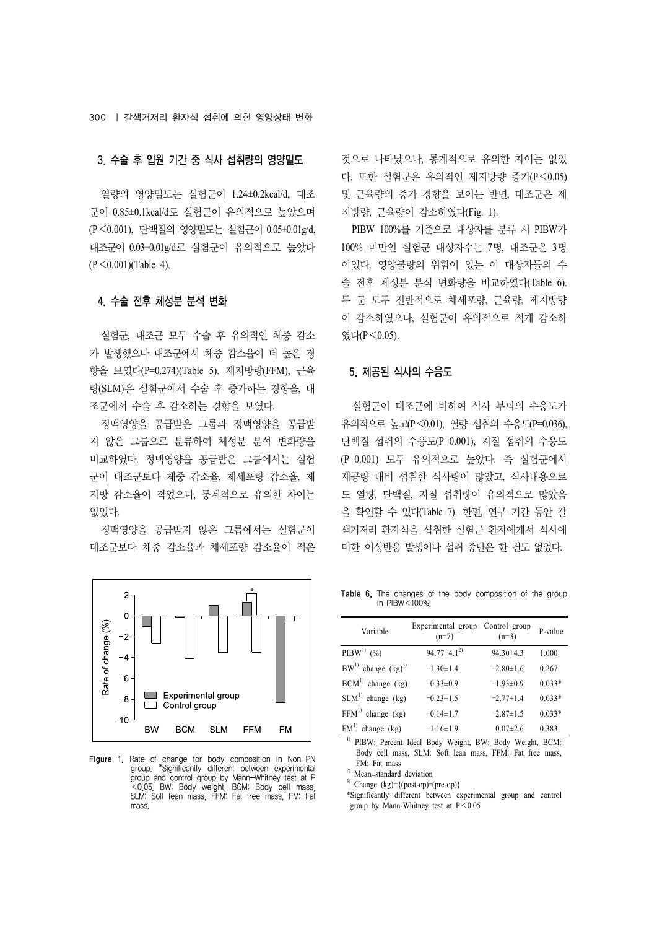#### 3. 수술 후 입원 기간 중 식사 섭취량의 영양밀도

열량의 영양밀도는 실험군이 1.24±0.2kcal/d, 대조 군이 0.85±0.1kcal/d로 실험군이 유의적으로 높았으며 (P<0.001), 단백질의 영양밀도는 실험군이 0.05±0.01g/d, 대조군이 0.03±0.01g/d로 실험군이 유의적으로 높았다  $(P < 0.001)$ (Table 4).

#### 4. 수술 전후 체성분 분석 변화

실험군, 대조군 모두 수술 후 유의적인 체중 감소 가 발생했으나 대조군에서 체중 감소율이 더 높은 경 향을 보였다(P=0.274)(Table 5). 제지방량(FFM), 근육 량(SLM)은 실험군에서 수술 후 증가하는 경향을, 대 조군에서 수술 후 감소하는 경향을 보였다.

정맥영양을 공급받은 그룹과 정맥영양을 공급받 지 않은 그룹으로 분류하여 체성분 분석 변화량을 비교하였다. 정맥영양을 공급받은 그룹에서는 실험 군이 대조군보다 체중 감소율, 체세포량 감소율, 체 지방 감소율이 적었으나, 통계적으로 유의한 차이는 없었다.

정맥영양을 공급받지 않은 그룹에서는 실험군이 대조군보다 체중 감소율과 체세포량 감소율이 적은



Figure 1. Rate of change for body composition in Non-PN group. \*Significantly different between experimental group and control group by Mann-Whitney test at P <0.05. BW: Body weight, BCM: Body cell mass, SLM: Soft lean mass, FFM: Fat free mass, FM: Fat mass.

것으로 나타났으나, 통계적으로 유의한 차이는 없었 다. 또한 실험군은 유의적인 제지방량 증가(P<0.05) 및 근육량의 증가 경향을 보이는 반면, 대조군은 제 지방량, 근육량이 감소하였다(Fig. 1).

PIBW 100%를 기준으로 대상자를 분류 시 PIBW가 100% 미만인 실험군 대상자수는 7명, 대조군은 3명 이었다. 영양불량의 위험이 있는 이 대상자들의 수 술 전후 체성분 분석 변화량을 비교하였다(Table 6). 두 군 모두 전반적으로 체세포량, 근육량, 제지방량 이 감소하였으나, 실험군이 유의적으로 적게 감소하 였다(P<0.05).

#### 5. 제공된 식사의 수응도

실험군이 대조군에 비하여 식사 부피의 수응도가 유의적으로 높고(P<0.01), 열량 섭취의 수응도(P=0.036), 단백질 섭취의 수응도(P=0.001), 지질 섭취의 수응도 (P=0.001) 모두 유의적으로 높았다. 즉 실험군에서 제공량 대비 섭취한 식사량이 많았고, 식사내용으로 도 열량, 단백질, 지질 섭취량이 유의적으로 많았음 을 확인할 수 있다(Table 7). 한편, 연구 기간 동안 갈 색거저리 환자식을 섭취한 실험군 환자에게서 식사에 대한 이상반응 발생이나 섭취 중단은 한 건도 없었다.

Table 6. The changes of the body composition of the group in  $PIBW <sub>100%</sub>$ .

| Variable                   | Experimental group Control group<br>$(n=7)$ | $(n=3)$         | P-value  |
|----------------------------|---------------------------------------------|-----------------|----------|
| PIBW <sup>1)</sup> $(\% )$ | $94.77\pm4.1^{2}$                           | $94.30\pm4.3$   | 1.000    |
| $BW^{1}$ change $(kg)^{3}$ | $-1.30 \pm 1.4$                             | $-2.80 \pm 1.6$ | 0.267    |
| $BCM1$ change (kg)         | $-0.33 \pm 0.9$                             | $-1.93 \pm 0.9$ | $0.033*$ |
| $SLM1$ change (kg)         | $-0.23 \pm 1.5$                             | $-2.77\pm1.4$   | $0.033*$ |
| $FFM1$ change (kg)         | $-0.14 \pm 1.7$                             | $-2.87\pm1.5$   | $0.033*$ |
| $FM1$ change (kg)          | $-1.16 \pm 1.9$                             | $0.07 \pm 2.6$  | 0.383    |

1) PIBW: Percent Ideal Body Weight, BW: Body Weight, BCM: Body cell mass, SLM: Soft lean mass, FFM: Fat free mass, FM: Fat mass

2) Mean±standard deviation

3) Change (kg)={(post-op)–(pre-op)}

\*Significantly different between experimental group and control group by Mann-Whitney test at  $P < 0.05$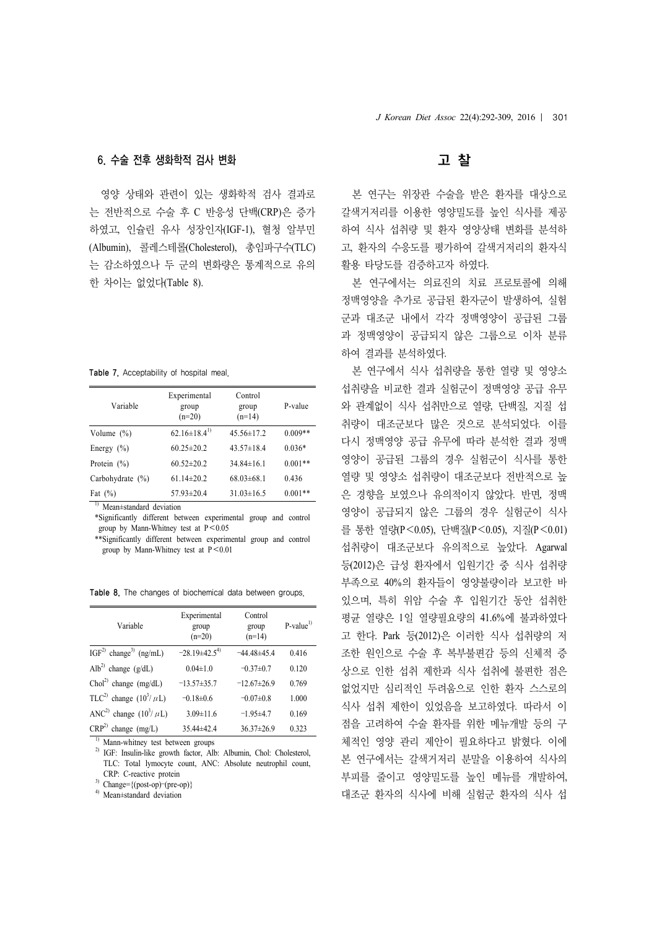#### 6. 수술 전후 생화학적 검사 변화

영양 상태와 관련이 있는 생화학적 검사 결과로 는 전반적으로 수술 후 C 반응성 단백(CRP)은 증가 하였고, 인슐린 유사 성장인자(IGF-1), 혈청 알부민 (Albumin), 콜레스테롤(Cholesterol), 총임파구수(TLC) 는 감소하였으나 두 군의 변화량은 통계적으로 유의 한 차이는 없었다(Table 8).

Table 7. Acceptability of hospital meal.

| Variable             | Experimental<br>group<br>$(n=20)$ | Control<br>group<br>$(n=14)$ | P-value   |
|----------------------|-----------------------------------|------------------------------|-----------|
| Volume $(\%)$        | $62.16\pm18.4^{1}$                | $45.56 \pm 17.2$             | $0.009**$ |
| Energy $(\% )$       | $60.25 \pm 20.2$                  | $43.57 \pm 18.4$             | $0.036*$  |
| Protein $(\% )$      | $60.52 \pm 20.2$                  | $34.84 \pm 16.1$             | $0.001**$ |
| Carbohydrate $(\% )$ | $61.14 \pm 20.2$                  | $68.03\pm 68.1$              | 0.436     |
| Fat $(\%)$           | $57.93 \pm 20.4$                  | $31.03 \pm 16.5$             | $0.001**$ |

<sup>1)</sup> Mean±standard deviation

\*Significantly different between experimental group and control group by Mann-Whitney test at  $P < 0.05$ 

\*\*Significantly different between experimental group and control group by Mann-Whitney test at P<0.01

Table 8. The changes of biochemical data between groups.

| Variable                                | Experimental<br>group<br>$(n=20)$ | Control<br>group<br>$(n=14)$ | $P-value1$ |
|-----------------------------------------|-----------------------------------|------------------------------|------------|
| $IGF2$ change <sup>3)</sup> (ng/mL)     | $-28.19\pm42.5^{4}$               | $-44.48\pm 45.4$             | 0.416      |
| Alb <sup>2)</sup> change $(g/dL)$       | $0.04 \pm 1.0$                    | $-0.37\pm0.7$                | 0.120      |
| $Chol2$ change (mg/dL)                  | $-13.57\pm35.7$                   | $-12.67\pm26.9$              | 0.769      |
| TLC <sup>2)</sup> change $(10^3/\mu L)$ | $-0.18\pm0.6$                     | $-0.07\pm0.8$                | 1.000      |
| ANC <sup>2)</sup> change $(10^3/\mu L)$ | $3.09 \pm 11.6$                   | $-1.95+4.7$                  | 0.169      |
| $CRP2$ change (mg/L)                    | 35.44±42.4                        | $36.37\pm26.9$               | 0.323      |

Mann-whitney test between groups

<sup>2)</sup> IGF: Insulin-like growth factor, Alb: Albumin, Chol: Cholesterol, TLC: Total lymocyte count, ANC: Absolute neutrophil count, CRP: C-reactive protein

3) Change={(post-op)–(pre-op)}

4) Mean±standard deviation

# 고 찰

본 연구는 위장관 수술을 받은 환자를 대상으로 갈색거저리를 이용한 영양밀도를 높인 식사를 제공 하여 식사 섭취량 및 환자 영양상태 변화를 분석하 고, 환자의 수응도를 평가하여 갈색거저리의 환자식 활용 타당도를 검증하고자 하였다.

본 연구에서는 의료진의 치료 프로토콜에 의해 정맥영양을 추가로 공급된 환자군이 발생하여, 실험 군과 대조군 내에서 각각 정맥영양이 공급된 그룹 과 정맥영양이 공급되지 않은 그룹으로 이차 분류 하여 결과를 분석하였다.

본 연구에서 식사 섭취량을 통한 열량 및 영양소 섭취량을 비교한 결과 실험군이 정맥영양 공급 유무 와 관계없이 식사 섭취만으로 열량, 단백질, 지질 섭 취량이 대조군보다 많은 것으로 분석되었다. 이를 다시 정맥영양 공급 유무에 따라 분석한 결과 정맥 영양이 공급된 그룹의 경우 실험군이 식사를 통한 열량 및 영양소 섭취량이 대조군보다 전반적으로 높 은 경향을 보였으나 유의적이지 않았다. 반면, 정맥 영양이 공급되지 않은 그룹의 경우 실험군이 식사 를 통한 열량(P<0.05), 단백질(P<0.05), 지질(P<0.01) 섭취량이 대조군보다 유의적으로 높았다. Agarwal 등(2012)은 급성 환자에서 입원기간 중 식사 섭취량 부족으로 40%의 환자들이 영양불량이라 보고한 바 있으며, 특히 위암 수술 후 입원기간 동안 섭취한 평균 열량은 1일 열량필요량의 41.6%에 불과하였다 고 한다. Park 등(2012)은 이러한 식사 섭취량의 저 조한 원인으로 수술 후 복부불편감 등의 신체적 증 상으로 인한 섭취 제한과 식사 섭취에 불편한 점은 없었지만 심리적인 두려움으로 인한 환자 스스로의 식사 섭취 제한이 있었음을 보고하였다. 따라서 이 점을 고려하여 수술 환자를 위한 메뉴개발 등의 구 체적인 영양 관리 제안이 필요하다고 밝혔다. 이에 본 연구에서는 갈색거저리 분말을 이용하여 식사의 부피를 줄이고 영양밀도를 높인 메뉴를 개발하여, 대조군 환자의 식사에 비해 실험군 환자의 식사 섭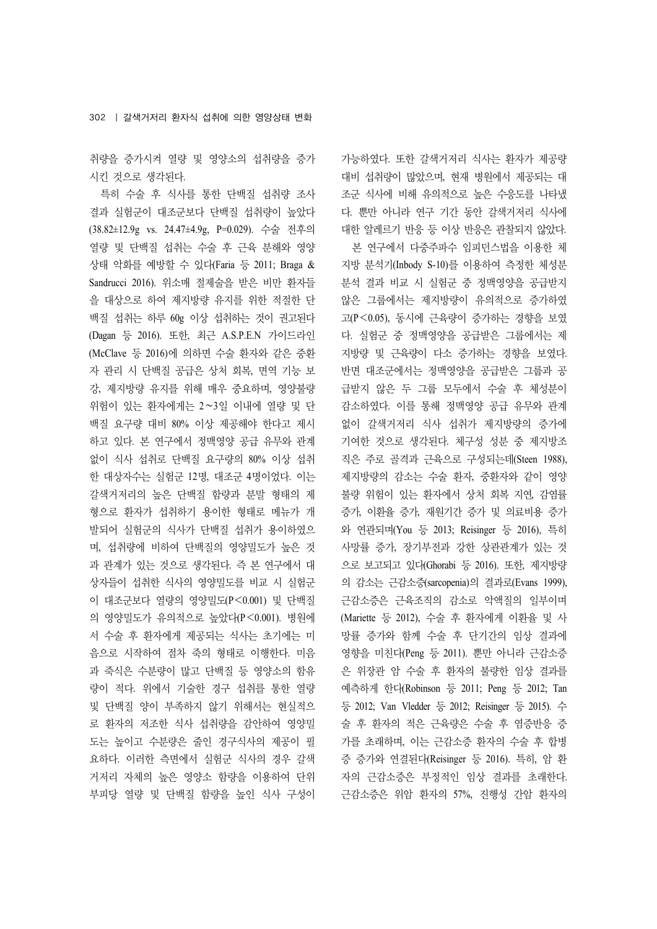취량을 증가시켜 열량 및 영양소의 섭취량을 증가 시킨 것으로 생각된다.

특히 수술 후 식사를 통한 단백질 섭취량 조사 결과 실험군이 대조군보다 단백질 섭취량이 높았다 (38.82±12.9g vs. 24.47±4.9g, P=0.029). 수술 전후의 열량 및 단백질 섭취는 수술 후 근육 분해와 영양 상태 악화를 예방할 수 있다(Faria 등 2011; Braga & Sandrucci 2016). 위소매 절제술을 받은 비만 환자들 을 대상으로 하여 제지방량 유지를 위한 적절한 단 백질 섭취는 하루 60g 이상 섭취하는 것이 권고된다 (Dagan 등 2016). 또한, 최근 A.S.P.E.N 가이드라인 (McClave 등 2016)에 의하면 수술 환자와 같은 중환 자 관리 시 단백질 공급은 상처 회복, 면역 기능 보 강, 제지방량 유지를 위해 매우 중요하며, 영양불량 위험이 있는 환자에게는 2∼3일 이내에 열량 및 단 백질 요구량 대비 80% 이상 제공해야 한다고 제시 하고 있다. 본 연구에서 정맥영양 공급 유무와 관계 없이 식사 섭취로 단백질 요구량의 80% 이상 섭취 한 대상자수는 실험군 12명, 대조군 4명이었다. 이는 갈색거저리의 높은 단백질 함량과 분말 형태의 제 형으로 환자가 섭취하기 용이한 형태로 메뉴가 개 발되어 실험군의 식사가 단백질 섭취가 용이하였으 며, 섭취량에 비하여 단백질의 영양밀도가 높은 것 과 관계가 있는 것으로 생각된다. 즉 본 연구에서 대 상자들이 섭취한 식사의 영양밀도를 비교 시 실험군 이 대조군보다 열량의 영양밀도(P<0.001) 및 단백질 의 영양밀도가 유의적으로 높았다(P<0.001). 병원에 서 수술 후 환자에게 제공되는 식사는 초기에는 미 음으로 시작하여 점차 죽의 형태로 이행한다. 미음 과 죽식은 수분량이 많고 단백질 등 영양소의 함유 량이 적다. 위에서 기술한 경구 섭취를 통한 열량 및 단백질 양이 부족하지 않기 위해서는 현실적으 로 환자의 저조한 식사 섭취량을 감안하여 영양밀 도는 높이고 수분량은 줄인 경구식사의 제공이 필 요하다. 이러한 측면에서 실험군 식사의 경우 갈색 거저리 자체의 높은 영양소 함량을 이용하여 단위 부피당 열량 및 단백질 함량을 높인 식사 구성이 가능하였다. 또한 갈색거저리 식사는 환자가 제공량 대비 섭취량이 많았으며, 현재 병원에서 제공되는 대 조군 식사에 비해 유의적으로 높은 수응도를 나타냈 다. 뿐만 아니라 연구 기간 동안 갈색거저리 식사에 대한 알레르기 반응 등 이상 반응은 관찰되지 않았다.

본 연구에서 다중주파수 임피던스법을 이용한 체 지방 분석기(Inbody S-10)를 이용하여 측정한 체성분 분석 결과 비교 시 실험군 중 정맥영양을 공급받지 않은 그룹에서는 제지방량이 유의적으로 증가하였 고(P<0.05), 동시에 근육량이 증가하는 경향을 보였 다. 실험군 중 정맥영양을 공급받은 그룹에서는 제 지방량 및 근육량이 다소 증가하는 경향을 보였다. 반면 대조군에서는 정맥영양을 공급받은 그룹과 공 급받지 않은 두 그룹 모두에서 수술 후 체성분이 감소하였다. 이를 통해 정맥영양 공급 유무와 관계 없이 갈색거저리 식사 섭취가 제지방량의 증가에 기여한 것으로 생각된다. 체구성 성분 중 제지방조 직은 주로 골격과 근육으로 구성되는데(Steen 1988), 제지방량의 감소는 수술 환자, 중환자와 같이 영양 불량 위험이 있는 환자에서 상처 회복 지연, 감염률 증가, 이환율 증가, 재원기간 증가 및 의료비용 증가 와 연관되며(You 등 2013; Reisinger 등 2016), 특히 사망률 증가, 장기부전과 강한 상관관계가 있는 것 으로 보고되고 있다(Ghorabi 등 2016). 또한, 제지방량 의 감소는 근감소증(sarcopenia)의 결과로(Evans 1999), 근감소증은 근육조직의 감소로 악액질의 일부이며 (Mariette 등 2012), 수술 후 환자에게 이환율 및 사 망률 증가와 함께 수술 후 단기간의 임상 결과에 영향을 미친다(Peng 등 2011). 뿐만 아니라 근감소증 은 위장관 암 수술 후 환자의 불량한 임상 결과를 예측하게 한다(Robinson 등 2011; Peng 등 2012; Tan 등 2012; Van Vledder 등 2012; Reisinger 등 2015). 수 술 후 환자의 적은 근육량은 수술 후 염증반응 증 가를 초래하며, 이는 근감소증 환자의 수술 후 합병 증 증가와 연결된다(Reisinger 등 2016). 특히, 암 환 자의 근감소증은 부정적인 임상 결과를 초래한다. 근감소증은 위암 환자의 57%, 진행성 간암 환자의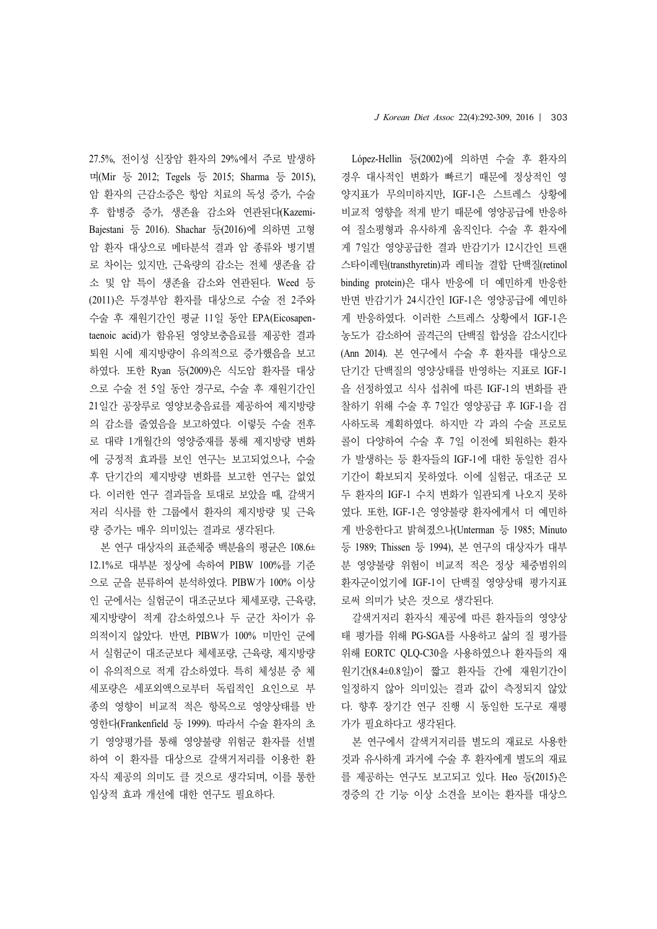*J Korean Diet Assoc* 22(4):292-309, 2016 | 303

27.5%, 전이성 신장암 환자의 29%에서 주로 발생하 며(Mir 등 2012; Tegels 등 2015; Sharma 등 2015), 암 환자의 근감소증은 항암 치료의 독성 증가, 수술 후 합병증 증가, 생존율 감소와 연관된다(Kazemi-Bajestani 등 2016). Shachar 등(2016)에 의하면 고형 암 환자 대상으로 메타분석 결과 암 종류와 병기별 로 차이는 있지만, 근육량의 감소는 전체 생존율 감 소 및 암 특이 생존율 감소와 연관된다. Weed 등 (2011)은 두경부암 환자를 대상으로 수술 전 2주와 수술 후 재원기간인 평균 11일 동안 EPA(Eicosapentaenoic acid)가 함유된 영양보충음료를 제공한 결과 퇴원 시에 제지방량이 유의적으로 증가했음을 보고 하였다. 또한 Ryan 등(2009)은 식도암 환자를 대상 으로 수술 전 5일 동안 경구로, 수술 후 재원기간인 21일간 공장루로 영양보충음료를 제공하여 제지방량 의 감소를 줄였음을 보고하였다. 이렇듯 수술 전후 로 대략 1개월간의 영양중재를 통해 제지방량 변화 에 긍정적 효과를 보인 연구는 보고되었으나, 수술 후 단기간의 제지방량 변화를 보고한 연구는 없었 다. 이러한 연구 결과들을 토대로 보았을 때, 갈색거 저리 식사를 한 그룹에서 환자의 제지방량 및 근육 량 증가는 매우 의미있는 결과로 생각된다.

본 연구 대상자의 표준체중 백분율의 평균은 108.6± 12.1%로 대부분 정상에 속하여 PIBW 100%를 기준 으로 군을 분류하여 분석하였다. PIBW가 100% 이상 인 군에서는 실험군이 대조군보다 체세포량, 근육량, 제지방량이 적게 감소하였으나 두 군간 차이가 유 의적이지 않았다. 반면, PIBW가 100% 미만인 군에 서 실험군이 대조군보다 체세포량, 근육량, 제지방량 이 유의적으로 적게 감소하였다. 특히 체성분 중 체 세포량은 세포외액으로부터 독립적인 요인으로 부 종의 영향이 비교적 적은 항목으로 영양상태를 반 영한다(Frankenfield 등 1999). 따라서 수술 환자의 초 기 영양평가를 통해 영양불량 위험군 환자를 선별 하여 이 환자를 대상으로 갈색거저리를 이용한 환 자식 제공의 의미도 클 것으로 생각되며, 이를 통한 임상적 효과 개선에 대한 연구도 필요하다.

López-Hellin 등(2002)에 의하면 수술 후 환자의 경우 대사적인 변화가 빠르기 때문에 정상적인 영 양지표가 무의미하지만, IGF-1은 스트레스 상황에 비교적 영향을 적게 받기 때문에 영양공급에 반응하 여 질소평형과 유사하게 움직인다. 수술 후 환자에 게 7일간 영양공급한 결과 반감기가 12시간인 트랜 스타이레틴(transthyretin)과 레티놀 결합 단백질(retinol binding protein)은 대사 반응에 더 예민하게 반응한 반면 반감기가 24시간인 IGF-1은 영양공급에 예민하 게 반응하였다. 이러한 스트레스 상황에서 IGF-1은 농도가 감소하여 골격근의 단백질 합성을 감소시킨다 (Ann 2014). 본 연구에서 수술 후 환자를 대상으로 단기간 단백질의 영양상태를 반영하는 지표로 IGF-1 을 선정하였고 식사 섭취에 따른 IGF-1의 변화를 관 찰하기 위해 수술 후 7일간 영양공급 후 IGF-1을 검 사하도록 계획하였다. 하지만 각 과의 수술 프로토 콜이 다양하여 수술 후 7일 이전에 퇴원하는 환자 가 발생하는 등 환자들의 IGF-1에 대한 동일한 검사 기간이 확보되지 못하였다. 이에 실험군, 대조군 모 두 환자의 IGF-1 수치 변화가 일관되게 나오지 못하 였다. 또한, IGF-1은 영양불량 환자에게서 더 예민하 게 반응한다고 밝혀졌으나(Unterman 등 1985; Minuto 등 1989; Thissen 등 1994), 본 연구의 대상자가 대부 분 영양불량 위험이 비교적 적은 정상 체중범위의 환자군이었기에 IGF-1이 단백질 영양상태 평가지표 로써 의미가 낮은 것으로 생각된다.

갈색거저리 환자식 제공에 따른 환자들의 영양상 태 평가를 위해 PG-SGA를 사용하고 삶의 질 평가를 위해 EORTC QLQ-C30을 사용하였으나 환자들의 재 원기간(8.4±0.8일)이 짧고 환자들 간에 재원기간이 일정하지 않아 의미있는 결과 값이 측정되지 않았 다. 향후 장기간 연구 진행 시 동일한 도구로 재평 가가 필요하다고 생각된다.

본 연구에서 갈색거저리를 별도의 재료로 사용한 것과 유사하게 과거에 수술 후 환자에게 별도의 재료 를 제공하는 연구도 보고되고 있다. Heo 등(2015)은 경증의 간 기능 이상 소견을 보이는 환자를 대상으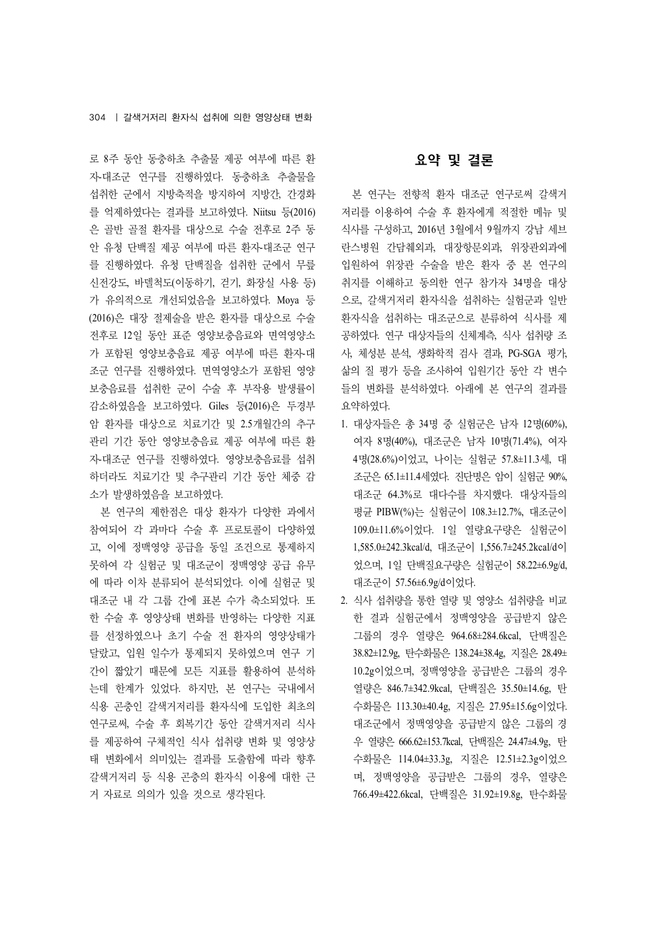로 8주 동안 동충하초 추출물 제공 여부에 따른 환 자-대조군 연구를 진행하였다. 동충하초 추출물을 섭취한 군에서 지방축적을 방지하여 지방간, 간경화 를 억제하였다는 결과를 보고하였다. Niitsu 등(2016) 은 골반 골절 환자를 대상으로 수술 전후로 2주 동 안 유청 단백질 제공 여부에 따른 환자-대조군 연구 를 진행하였다. 유청 단백질을 섭취한 군에서 무릎 신전강도, 바델척도(이동하기, 걷기, 화장실 사용 등) 가 유의적으로 개선되었음을 보고하였다. Moya 등 (2016)은 대장 절제술을 받은 환자를 대상으로 수술 전후로 12일 동안 표준 영양보충음료와 면역영양소 가 포함된 영양보충음료 제공 여부에 따른 환자-대 조군 연구를 진행하였다. 면역영양소가 포함된 영양 보충음료를 섭취한 군이 수술 후 부작용 발생률이 감소하였음을 보고하였다. Giles 등(2016)은 두경부 암 환자를 대상으로 치료기간 및 2.5개월간의 추구 관리 기간 동안 영양보충음료 제공 여부에 따른 환 자-대조군 연구를 진행하였다. 영양보충음료를 섭취 하더라도 치료기간 및 추구관리 기간 동안 체중 감 소가 발생하였음을 보고하였다.

본 연구의 제한점은 대상 환자가 다양한 과에서 참여되어 각 과마다 수술 후 프로토콜이 다양하였 고, 이에 정맥영양 공급을 동일 조건으로 통제하지 못하여 각 실험군 및 대조군이 정맥영양 공급 유무 에 따라 이차 분류되어 분석되었다. 이에 실험군 및 대조군 내 각 그룹 간에 표본 수가 축소되었다. 또 한 수술 후 영양상태 변화를 반영하는 다양한 지표 를 선정하였으나 초기 수술 전 환자의 영양상태가 달랐고, 입원 일수가 통제되지 못하였으며 연구 기 간이 짧았기 때문에 모든 지표를 활용하여 분석하 는데 한계가 있었다. 하지만, 본 연구는 국내에서 식용 곤충인 갈색거저리를 환자식에 도입한 최초의 연구로써, 수술 후 회복기간 동안 갈색거저리 식사 를 제공하여 구체적인 식사 섭취량 변화 및 영양상 태 변화에서 의미있는 결과를 도출함에 따라 향후 갈색거저리 등 식용 곤충의 환자식 이용에 대한 근 거 자료로 의의가 있을 것으로 생각된다.

# 요약 및 결론

본 연구는 전향적 환자 대조군 연구로써 갈색거 저리를 이용하여 수술 후 환자에게 적절한 메뉴 및 식사를 구성하고, 2016년 3월에서 9월까지 강남 세브 란스병원 간담췌외과, 대장항문외과, 위장관외과에 입원하여 위장관 수술을 받은 환자 중 본 연구의 취지를 이해하고 동의한 연구 참가자 34명을 대상 으로, 갈색거저리 환자식을 섭취하는 실험군과 일반 환자식을 섭취하는 대조군으로 분류하여 식사를 제 공하였다. 연구 대상자들의 신체계측, 식사 섭취량 조 사, 체성분 분석, 생화학적 검사 결과, PG-SGA 평가, 삶의 질 평가 등을 조사하여 입원기간 동안 각 변수 들의 변화를 분석하였다. 아래에 본 연구의 결과를 요약하였다.

- 1. 대상자들은 총 34명 중 실험군은 남자 12명(60%), 여자 8명(40%), 대조군은 남자 10명(71.4%), 여자 4명(28.6%)이었고, 나이는 실험군 57.8±11.3세, 대 조군은 65.1±11.4세였다. 진단명은 암이 실험군 90%, 대조군 64.3%로 대다수를 차지했다. 대상자들의 평균 PIBW(%)는 실험군이 108.3±12.7%, 대조군이 109.0±11.6%이었다. 1일 열량요구량은 실험군이 1,585.0±242.3kcal/d, 대조군이 1,556.7±245.2kcal/d이 었으며, 1일 단백질요구량은 실험군이 58.22±6.9g/d, 대조군이 57.56±6.9g/d이었다.
- 2. 식사 섭취량을 통한 열량 및 영양소 섭취량을 비교 한 결과 실험군에서 정맥영양을 공급받지 않은 그룹의 경우 열량은 964.68±284.6kcal, 단백질은 38.82±12.9g, 탄수화물은 138.24±38.4g, 지질은 28.49± 10.2g이었으며, 정맥영양을 공급받은 그룹의 경우 열량은 846.7±342.9kcal, 단백질은 35.50±14.6g, 탄 수화물은 113.30±40.4g, 지질은 27.95±15.6g이었다. 대조군에서 정맥영양을 공급받지 않은 그룹의 경 우 열량은 666.62±153.7kcal, 단백질은 24.47±4.9g, 탄 수화물은 114.04±33.3g, 지질은 12.51±2.3g이었으 며, 정맥영양을 공급받은 그룹의 경우, 열량은 766.49±422.6kcal, 단백질은 31.92±19.8g, 탄수화물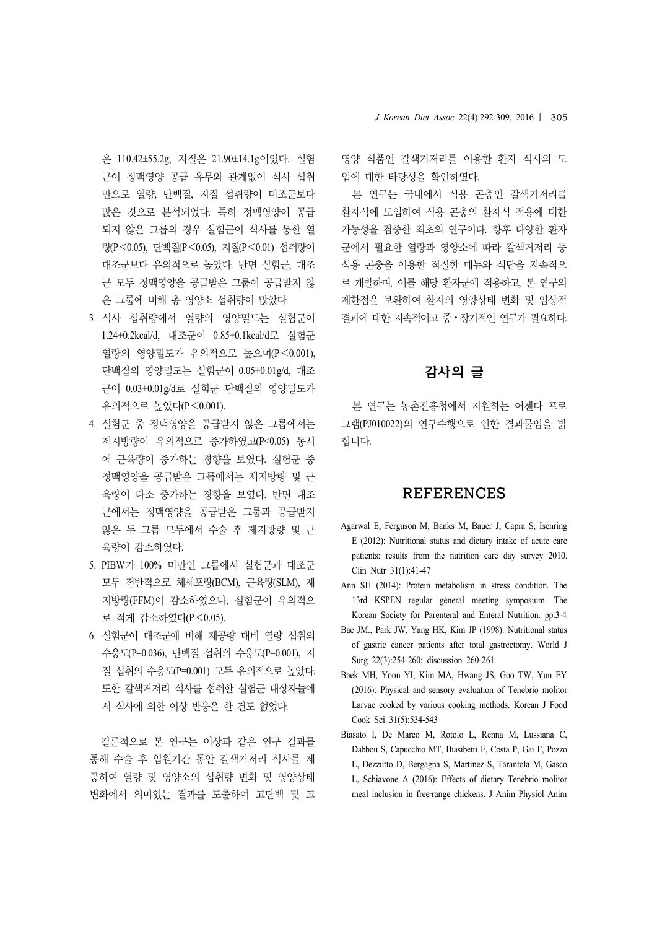은 110.42±55.2g, 지질은 21.90±14.1g이었다. 실험 군이 정맥영양 공급 유무와 관계없이 식사 섭취 만으로 열량, 단백질, 지질 섭취량이 대조군보다 많은 것으로 분석되었다. 특히 정맥영양이 공급 되지 않은 그룹의 경우 실험군이 식사를 통한 열 량(P<0.05), 단백질(P<0.05), 지질(P<0.01) 섭취량이 대조군보다 유의적으로 높았다. 반면 실험군, 대조 군 모두 정맥영양을 공급받은 그룹이 공급받지 않 은 그룹에 비해 총 영양소 섭취량이 많았다.

- 3. 식사 섭취량에서 열량의 영양밀도는 실험군이 1.24±0.2kcal/d, 대조군이 0.85±0.1kcal/d로 실험군 열량의 영양밀도가 유의적으로 높으며(P<0.001), 단백질의 영양밀도는 실험군이 0.05±0.01g/d, 대조 군이 0.03±0.01g/d로 실험군 단백질의 영양밀도가 유의적으로 높았다(P<0.001).
- 4. 실험군 중 정맥영양을 공급받지 않은 그룹에서는 제지방량이 유의적으로 증가하였고(P<0.05) 동시 에 근육량이 증가하는 경향을 보였다. 실험군 중 정맥영양을 공급받은 그룹에서는 제지방량 및 근 육량이 다소 증가하는 경향을 보였다. 반면 대조 군에서는 정맥영양을 공급받은 그룹과 공급받지 않은 두 그룹 모두에서 수술 후 제지방량 및 근 육량이 감소하였다.
- 5. PIBW가 100% 미만인 그룹에서 실험군과 대조군 모두 전반적으로 체세포량(BCM), 근육량(SLM), 제 지방량(FFM)이 감소하였으나, 실험군이 유의적으 로 적게 감소하였다(P<0.05).
- 6. 실험군이 대조군에 비해 제공량 대비 열량 섭취의 수응도(P=0.036), 단백질 섭취의 수응도(P=0.001), 지 질 섭취의 수응도(P=0.001) 모두 유의적으로 높았다. 또한 갈색거저리 식사를 섭취한 실험군 대상자들에 서 식사에 의한 이상 반응은 한 건도 없었다.

결론적으로 본 연구는 이상과 같은 연구 결과를 통해 수술 후 입원기간 동안 갈색거저리 식사를 제 공하여 열량 및 영양소의 섭취량 변화 및 영양상태 변화에서 의미있는 결과를 도출하여 고단백 및 고

영양 식품인 갈색거저리를 이용한 환자 식사의 도 입에 대한 타당성을 확인하였다.

본 연구는 국내에서 식용 곤충인 갈색거저리를 환자식에 도입하여 식용 곤충의 환자식 적용에 대한 가능성을 검증한 최초의 연구이다. 향후 다양한 환자 군에서 필요한 열량과 영양소에 따라 갈색거저리 등 식용 곤충을 이용한 적절한 메뉴와 식단을 지속적으 로 개발하며, 이를 해당 환자군에 적용하고, 본 연구의 제한점을 보완하여 환자의 영양상태 변화 및 임상적 결과에 대한 지속적이고 중ㆍ장기적인 연구가 필요하다.

# 감사의 글

본 연구는 농촌진흥청에서 지원하는 어젠다 프로 그램(PJ010022)의 연구수행으로 인한 결과물임을 밝 힙니다.

## REFERENCES

- Agarwal E, Ferguson M, Banks M, Bauer J, Capra S, Isenring E (2012): Nutritional status and dietary intake of acute care patients: results from the nutrition care day survey 2010. Clin Nutr 31(1):41-47
- Ann SH (2014): Protein metabolism in stress condition. The 13rd KSPEN regular general meeting symposium. The Korean Society for Parenteral and Enteral Nutrition. pp.3-4
- Bae JM., Park JW, Yang HK, Kim JP (1998): Nutritional status of gastric cancer patients after total gastrectomy. World J Surg 22(3):254-260; discussion 260-261
- Baek MH, Yoon YI, Kim MA, Hwang JS, Goo TW, Yun EY (2016): Physical and sensory evaluation of Tenebrio molitor Larvae cooked by various cooking methods. Korean J Food Cook Sci 31(5):534-543
- Biasato I, De Marco M, Rotolo L, Renna M, Lussiana C, Dabbou S, Capucchio MT, Biasibetti E, Costa P, Gai F, Pozzo L, Dezzutto D, Bergagna S, Martínez S, Tarantola M, Gasco L, Schiavone A (2016): Effects of dietary Tenebrio molitor meal inclusion in free-range chickens. J Anim Physiol Anim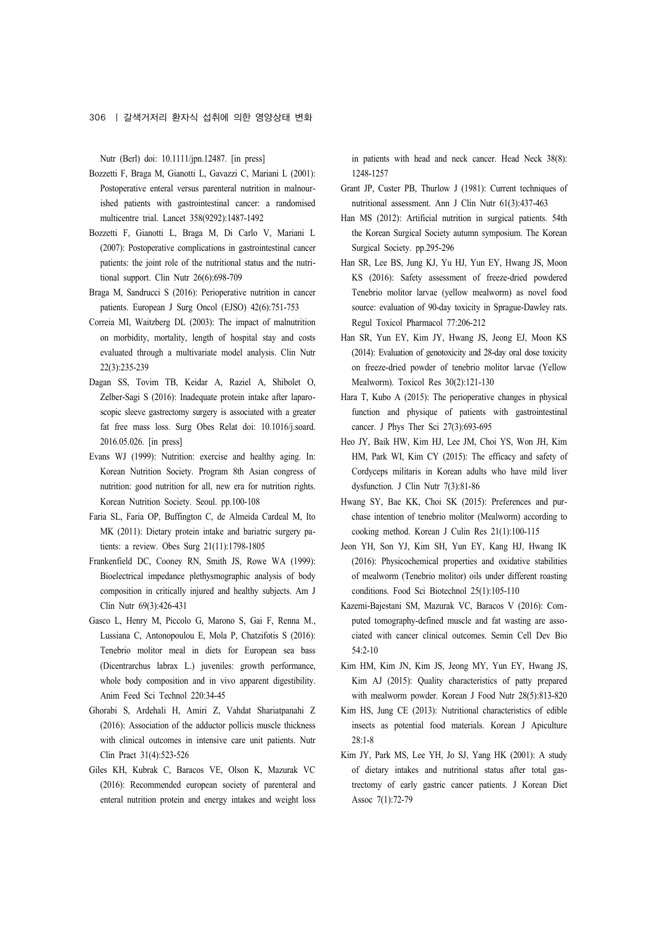Nutr (Berl) doi: 10.1111/jpn.12487. [in press]

- Bozzetti F, Braga M, Gianotti L, Gavazzi C, Mariani L (2001): Postoperative enteral versus parenteral nutrition in malnourished patients with gastrointestinal cancer: a randomised multicentre trial. Lancet 358(9292):1487-1492
- Bozzetti F, Gianotti L, Braga M, Di Carlo V, Mariani L (2007): Postoperative complications in gastrointestinal cancer patients: the joint role of the nutritional status and the nutritional support. Clin Nutr 26(6):698-709
- Braga M, Sandrucci S (2016): Perioperative nutrition in cancer patients. European J Surg Oncol (EJSO) 42(6):751-753
- Correia MI, Waitzberg DL (2003): The impact of malnutrition on morbidity, mortality, length of hospital stay and costs evaluated through a multivariate model analysis. Clin Nutr 22(3):235-239
- Dagan SS, Tovim TB, Keidar A, Raziel A, Shibolet O, Zelber-Sagi S (2016): Inadequate protein intake after laparoscopic sleeve gastrectomy surgery is associated with a greater fat free mass loss. Surg Obes Relat doi: 10.1016/j.soard. 2016.05.026. [in press]
- Evans WJ (1999): Nutrition: exercise and healthy aging. In: Korean Nutrition Society. Program 8th Asian congress of nutrition: good nutrition for all, new era for nutrition rights. Korean Nutrition Society. Seoul. pp.100-108
- Faria SL, Faria OP, Buffington C, de Almeida Cardeal M, Ito MK (2011): Dietary protein intake and bariatric surgery patients: a review. Obes Surg 21(11):1798-1805
- Frankenfield DC, Cooney RN, Smith JS, Rowe WA (1999): Bioelectrical impedance plethysmographic analysis of body composition in critically injured and healthy subjects. Am J Clin Nutr 69(3):426-431
- Gasco L, Henry M, Piccolo G, Marono S, Gai F, Renna M., Lussiana C, Antonopoulou E, Mola P, Chatzifotis S (2016): Tenebrio molitor meal in diets for European sea bass (Dicentrarchus labrax L.) juveniles: growth performance, whole body composition and in vivo apparent digestibility. Anim Feed Sci Technol 220:34-45
- Ghorabi S, Ardehali H, Amiri Z, Vahdat Shariatpanahi Z (2016): Association of the adductor pollicis muscle thickness with clinical outcomes in intensive care unit patients. Nutr Clin Pract 31(4):523-526
- Giles KH, Kubrak C, Baracos VE, Olson K, Mazurak VC (2016): Recommended european society of parenteral and enteral nutrition protein and energy intakes and weight loss

in patients with head and neck cancer. Head Neck 38(8): 1248-1257

- Grant JP, Custer PB, Thurlow J (1981): Current techniques of nutritional assessment. Ann J Clin Nutr 61(3):437-463
- Han MS (2012): Artificial nutrition in surgical patients. 54th the Korean Surgical Society autumn symposium. The Korean Surgical Society. pp.295-296
- Han SR, Lee BS, Jung KJ, Yu HJ, Yun EY, Hwang JS, Moon KS (2016): Safety assessment of freeze-dried powdered Tenebrio molitor larvae (yellow mealworm) as novel food source: evaluation of 90-day toxicity in Sprague-Dawley rats. Regul Toxicol Pharmacol 77:206-212
- Han SR, Yun EY, Kim JY, Hwang JS, Jeong EJ, Moon KS (2014): Evaluation of genotoxicity and 28-day oral dose toxicity on freeze-dried powder of tenebrio molitor larvae (Yellow Mealworm). Toxicol Res 30(2):121-130
- Hara T, Kubo A (2015): The perioperative changes in physical function and physique of patients with gastrointestinal cancer. J Phys Ther Sci 27(3):693-695
- Heo JY, Baik HW, Kim HJ, Lee JM, Choi YS, Won JH, Kim HM, Park WI, Kim CY (2015): The efficacy and safety of Cordyceps militaris in Korean adults who have mild liver dysfunction. J Clin Nutr 7(3):81-86
- Hwang SY, Bae KK, Choi SK (2015): Preferences and purchase intention of tenebrio molitor (Mealworm) according to cooking method. Korean J Culin Res 21(1):100-115
- Jeon YH, Son YJ, Kim SH, Yun EY, Kang HJ, Hwang IK (2016): Physicochemical properties and oxidative stabilities of mealworm (Tenebrio molitor) oils under different roasting conditions. Food Sci Biotechnol 25(1):105-110
- Kazemi-Bajestani SM, Mazurak VC, Baracos V (2016): Computed tomography-defined muscle and fat wasting are associated with cancer clinical outcomes. Semin Cell Dev Bio 54:2-10
- Kim HM, Kim JN, Kim JS, Jeong MY, Yun EY, Hwang JS, Kim AJ (2015): Quality characteristics of patty prepared with mealworm powder. Korean J Food Nutr 28(5):813-820
- Kim HS, Jung CE (2013): Nutritional characteristics of edible insects as potential food materials. Korean J Apiculture 28:1-8
- Kim JY, Park MS, Lee YH, Jo SJ, Yang HK (2001): A study of dietary intakes and nutritional status after total gastrectomy of early gastric cancer patients. J Korean Diet Assoc 7(1):72-79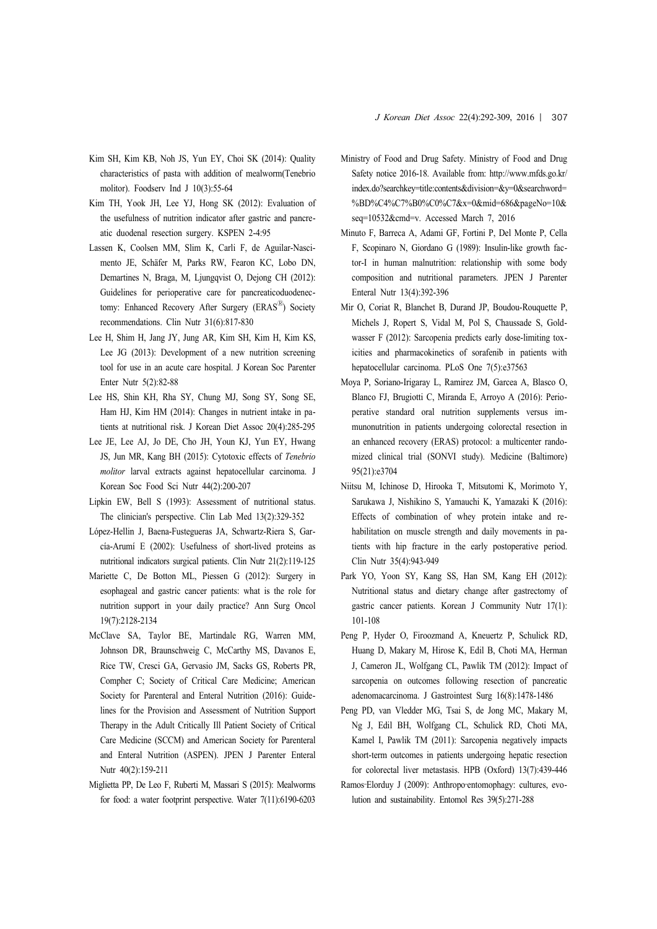- Kim SH, Kim KB, Noh JS, Yun EY, Choi SK (2014): Quality characteristics of pasta with addition of mealworm(Tenebrio molitor). Foodserv Ind J 10(3):55-64
- Kim TH, Yook JH, Lee YJ, Hong SK (2012): Evaluation of the usefulness of nutrition indicator after gastric and pancreatic duodenal resection surgery. KSPEN 2-4:95
- Lassen K, Coolsen MM, Slim K, Carli F, de Aguilar-Nascimento JE, Schäfer M, Parks RW, Fearon KC, Lobo DN, Demartines N, Braga, M, Ljungqvist O, Dejong CH (2012): Guidelines for perioperative care for pancreaticoduodenectomy: Enhanced Recovery After Surgery (ERAS<sup>®</sup>) Society recommendations. Clin Nutr 31(6):817-830
- Lee H, Shim H, Jang JY, Jung AR, Kim SH, Kim H, Kim KS, Lee JG (2013): Development of a new nutrition screening tool for use in an acute care hospital. J Korean Soc Parenter Enter Nutr 5(2):82-88
- Lee HS, Shin KH, Rha SY, Chung MJ, Song SY, Song SE, Ham HJ, Kim HM (2014): Changes in nutrient intake in patients at nutritional risk. J Korean Diet Assoc 20(4):285-295
- Lee JE, Lee AJ, Jo DE, Cho JH, Youn KJ, Yun EY, Hwang JS, Jun MR, Kang BH (2015): Cytotoxic effects of *Tenebrio molitor* larval extracts against hepatocellular carcinoma. J Korean Soc Food Sci Nutr 44(2):200-207
- Lipkin EW, Bell S (1993): Assessment of nutritional status. The clinician's perspective. Clin Lab Med 13(2):329-352
- López-Hellin J, Baena-Fustegueras JA, Schwartz-Riera S, García-Arumí E (2002): Usefulness of short-lived proteins as nutritional indicators surgical patients. Clin Nutr 21(2):119-125
- Mariette C, De Botton ML, Piessen G (2012): Surgery in esophageal and gastric cancer patients: what is the role for nutrition support in your daily practice? Ann Surg Oncol 19(7):2128-2134
- McClave SA, Taylor BE, Martindale RG, Warren MM, Johnson DR, Braunschweig C, McCarthy MS, Davanos E, Rice TW, Cresci GA, Gervasio JM, Sacks GS, Roberts PR, Compher C; Society of Critical Care Medicine; American Society for Parenteral and Enteral Nutrition (2016): Guidelines for the Provision and Assessment of Nutrition Support Therapy in the Adult Critically Ill Patient Society of Critical Care Medicine (SCCM) and American Society for Parenteral and Enteral Nutrition (ASPEN). JPEN J Parenter Enteral Nutr 40(2):159-211
- Miglietta PP, De Leo F, Ruberti M, Massari S (2015): Mealworms for food: a water footprint perspective. Water 7(11):6190-6203
- Ministry of Food and Drug Safety. Ministry of Food and Drug Safety notice 2016-18. Available from: http://www.mfds.go.kr/ index.do?searchkey=title:contents&division=&y=0&searchword= %BD%C4%C7%B0%C0%C7&x=0&mid=686&pageNo=10& seq=10532&cmd=v. Accessed March 7, 2016
- Minuto F, Barreca A, Adami GF, Fortini P, Del Monte P, Cella F, Scopinaro N, Giordano G (1989): Insulin-like growth factor-I in human malnutrition: relationship with some body composition and nutritional parameters. JPEN J Parenter Enteral Nutr 13(4):392-396
- Mir O, Coriat R, Blanchet B, Durand JP, Boudou-Rouquette P, Michels J, Ropert S, Vidal M, Pol S, Chaussade S, Goldwasser F (2012): Sarcopenia predicts early dose-limiting toxicities and pharmacokinetics of sorafenib in patients with hepatocellular carcinoma. PLoS One 7(5):e37563
- Moya P, Soriano-Irigaray L, Ramirez JM, Garcea A, Blasco O, Blanco FJ, Brugiotti C, Miranda E, Arroyo A (2016): Perioperative standard oral nutrition supplements versus immunonutrition in patients undergoing colorectal resection in an enhanced recovery (ERAS) protocol: a multicenter randomized clinical trial (SONVI study). Medicine (Baltimore) 95(21):e3704
- Niitsu M, Ichinose D, Hirooka T, Mitsutomi K, Morimoto Y, Sarukawa J, Nishikino S, Yamauchi K, Yamazaki K (2016): Effects of combination of whey protein intake and rehabilitation on muscle strength and daily movements in patients with hip fracture in the early postoperative period. Clin Nutr 35(4):943-949
- Park YO, Yoon SY, Kang SS, Han SM, Kang EH (2012): Nutritional status and dietary change after gastrectomy of gastric cancer patients. Korean J Community Nutr 17(1): 101-108
- Peng P, Hyder O, Firoozmand A, Kneuertz P, Schulick RD, Huang D, Makary M, Hirose K, Edil B, Choti MA, Herman J, Cameron JL, Wolfgang CL, Pawlik TM (2012): Impact of sarcopenia on outcomes following resection of pancreatic adenomacarcinoma. J Gastrointest Surg 16(8):1478-1486
- Peng PD, van Vledder MG, Tsai S, de Jong MC, Makary M, Ng J, Edil BH, Wolfgang CL, Schulick RD, Choti MA, Kamel I, Pawlik TM (2011): Sarcopenia negatively impacts short-term outcomes in patients undergoing hepatic resection for colorectal liver metastasis. HPB (Oxford) 13(7):439-446
- Ramos-Elorduy J (2009): Anthropo-entomophagy: cultures, evolution and sustainability. Entomol Res 39(5):271-288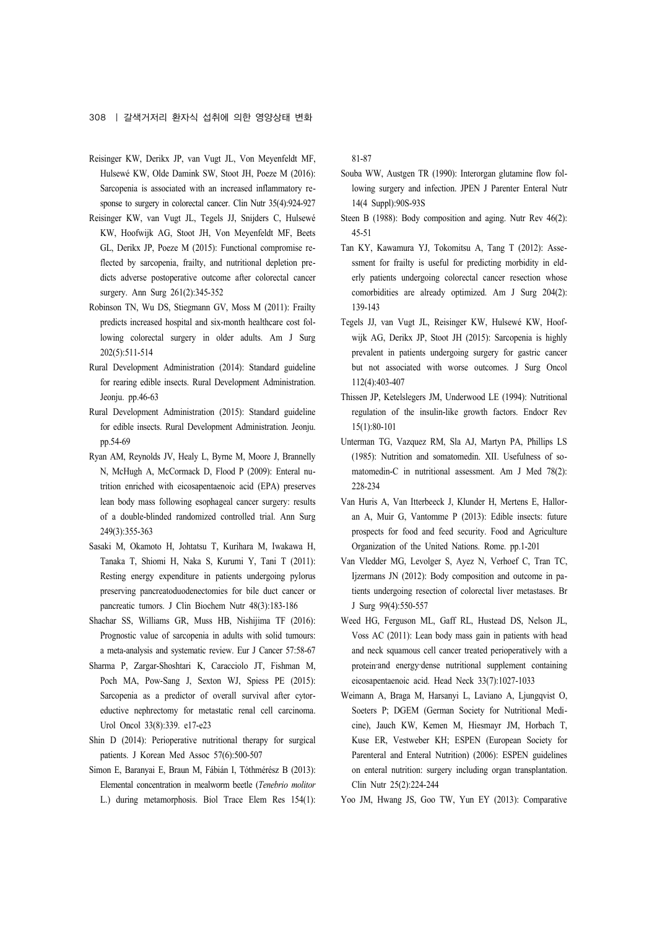- Reisinger KW, Derikx JP, van Vugt JL, Von Meyenfeldt MF, Hulsewé KW, Olde Damink SW, Stoot JH, Poeze M (2016): Sarcopenia is associated with an increased inflammatory response to surgery in colorectal cancer. Clin Nutr 35(4):924-927
- Reisinger KW, van Vugt JL, Tegels JJ, Snijders C, Hulsewé KW, Hoofwijk AG, Stoot JH, Von Meyenfeldt MF, Beets GL, Derikx JP, Poeze M (2015): Functional compromise reflected by sarcopenia, frailty, and nutritional depletion predicts adverse postoperative outcome after colorectal cancer surgery. Ann Surg 261(2):345-352
- Robinson TN, Wu DS, Stiegmann GV, Moss M (2011): Frailty predicts increased hospital and six-month healthcare cost following colorectal surgery in older adults. Am J Surg 202(5):511-514
- Rural Development Administration (2014): Standard guideline for rearing edible insects. Rural Development Administration. Jeonju. pp.46-63
- Rural Development Administration (2015): Standard guideline for edible insects. Rural Development Administration. Jeonju. pp.54-69
- Ryan AM, Reynolds JV, Healy L, Byrne M, Moore J, Brannelly N, McHugh A, McCormack D, Flood P (2009): Enteral nutrition enriched with eicosapentaenoic acid (EPA) preserves lean body mass following esophageal cancer surgery: results of a double-blinded randomized controlled trial. Ann Surg 249(3):355-363
- Sasaki M, Okamoto H, Johtatsu T, Kurihara M, Iwakawa H, Tanaka T, Shiomi H, Naka S, Kurumi Y, Tani T (2011): Resting energy expenditure in patients undergoing pylorus preserving pancreatoduodenectomies for bile duct cancer or pancreatic tumors. J Clin Biochem Nutr 48(3):183-186
- Shachar SS, Williams GR, Muss HB, Nishijima TF (2016): Prognostic value of sarcopenia in adults with solid tumours: a meta-analysis and systematic review. Eur J Cancer 57:58-67
- Sharma P, Zargar-Shoshtari K, Caracciolo JT, Fishman M, Poch MA, Pow-Sang J, Sexton WJ, Spiess PE (2015): Sarcopenia as a predictor of overall survival after cytoreductive nephrectomy for metastatic renal cell carcinoma. Urol Oncol 33(8):339. e17-e23
- Shin D (2014): Perioperative nutritional therapy for surgical patients. J Korean Med Assoc 57(6):500-507
- Simon E, Baranyai E, Braun M, Fábián I, Tóthmérész B (2013): Elemental concentration in mealworm beetle (*Tenebrio molitor* L.) during metamorphosis. Biol Trace Elem Res 154(1):

81-87

- Souba WW, Austgen TR (1990): Interorgan glutamine flow following surgery and infection. JPEN J Parenter Enteral Nutr 14(4 Suppl):90S-93S
- Steen B (1988): Body composition and aging. Nutr Rev 46(2): 45-51
- Tan KY, Kawamura YJ, Tokomitsu A, Tang T (2012): Assessment for frailty is useful for predicting morbidity in elderly patients undergoing colorectal cancer resection whose comorbidities are already optimized. Am J Surg 204(2): 139-143
- Tegels JJ, van Vugt JL, Reisinger KW, Hulsewé KW, Hoofwijk AG, Derikx JP, Stoot JH (2015): Sarcopenia is highly prevalent in patients undergoing surgery for gastric cancer but not associated with worse outcomes. J Surg Oncol 112(4):403-407
- Thissen JP, Ketelslegers JM, Underwood LE (1994): Nutritional regulation of the insulin-like growth factors. Endocr Rev 15(1):80-101
- Unterman TG, Vazquez RM, Sla AJ, Martyn PA, Phillips LS (1985): Nutrition and somatomedin. XII. Usefulness of somatomedin-C in nutritional assessment. Am J Med 78(2): 228-234
- Van Huris A, Van Itterbeeck J, Klunder H, Mertens E, Halloran A, Muir G, Vantomme P (2013): Edible insects: future prospects for food and feed security. Food and Agriculture Organization of the United Nations. Rome. pp.1-201
- Van Vledder MG, Levolger S, Ayez N, Verhoef C, Tran TC, Ijzermans JN (2012): Body composition and outcome in patients undergoing resection of colorectal liver metastases. Br J Surg 99(4):550-557
- Weed HG, Ferguson ML, Gaff RL, Hustead DS, Nelson JL, Voss AC (2011): Lean body mass gain in patients with head and neck squamous cell cancer treated perioperatively with a protein-and energy-dense nutritional supplement containing eicosapentaenoic acid. Head Neck 33(7):1027-1033
- Weimann A, Braga M, Harsanyi L, Laviano A, Ljungqvist O, Soeters P; DGEM (German Society for Nutritional Medicine), Jauch KW, Kemen M, Hiesmayr JM, Horbach T, Kuse ER, Vestweber KH; ESPEN (European Society for Parenteral and Enteral Nutrition) (2006): ESPEN guidelines on enteral nutrition: surgery including organ transplantation. Clin Nutr 25(2):224-244
- Yoo JM, Hwang JS, Goo TW, Yun EY (2013): Comparative